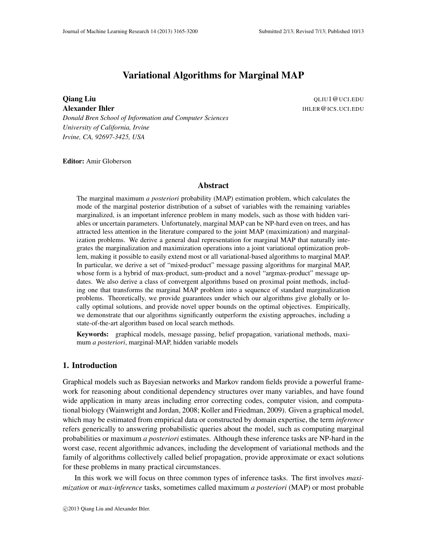# Variational Algorithms for Marginal MAP

**Oiang Liu** QLIU1@UCI.EDU Alexander Ihler **International Community Community** Community Community Community Community Community Community Community Community Community Community Community Community Community Community Community Community Community

*Donald Bren School of Information and Computer Sciences University of California, Irvine Irvine, CA, 92697-3425, USA*

Editor: Amir Globerson

### Abstract

The marginal maximum *a posteriori* probability (MAP) estimation problem, which calculates the mode of the marginal posterior distribution of a subset of variables with the remaining variables marginalized, is an important inference problem in many models, such as those with hidden variables or uncertain parameters. Unfortunately, marginal MAP can be NP-hard even on trees, and has attracted less attention in the literature compared to the joint MAP (maximization) and marginalization problems. We derive a general dual representation for marginal MAP that naturally integrates the marginalization and maximization operations into a joint variational optimization problem, making it possible to easily extend most or all variational-based algorithms to marginal MAP. In particular, we derive a set of "mixed-product" message passing algorithms for marginal MAP, whose form is a hybrid of max-product, sum-product and a novel "argmax-product" message updates. We also derive a class of convergent algorithms based on proximal point methods, including one that transforms the marginal MAP problem into a sequence of standard marginalization problems. Theoretically, we provide guarantees under which our algorithms give globally or locally optimal solutions, and provide novel upper bounds on the optimal objectives. Empirically, we demonstrate that our algorithms significantly outperform the existing approaches, including a state-of-the-art algorithm based on local search methods.

Keywords: graphical models, message passing, belief propagation, variational methods, maximum *a posteriori*, marginal-MAP, hidden variable models

# 1. Introduction

Graphical models such as Bayesian networks and Markov random fields provide a powerful framework for reasoning about conditional dependency structures over many variables, and have found wide application in many areas including error correcting codes, computer vision, and computational biology (Wainwright and Jordan, 2008; Koller and Friedman, 2009). Given a graphical model, which may be estimated from empirical data or constructed by domain expertise, the term *inference* refers generically to answering probabilistic queries about the model, such as computing marginal probabilities or maximum *a posteriori* estimates. Although these inference tasks are NP-hard in the worst case, recent algorithmic advances, including the development of variational methods and the family of algorithms collectively called belief propagation, provide approximate or exact solutions for these problems in many practical circumstances.

In this work we will focus on three common types of inference tasks. The first involves *maximization* or *max-inference* tasks, sometimes called maximum *a posteriori* (MAP) or most probable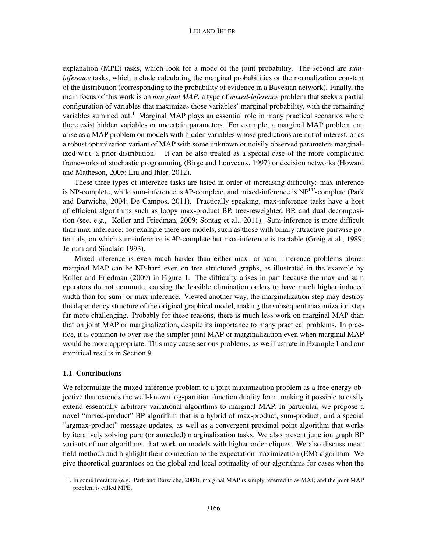#### LIU AND IHLER

explanation (MPE) tasks, which look for a mode of the joint probability. The second are *suminference* tasks, which include calculating the marginal probabilities or the normalization constant of the distribution (corresponding to the probability of evidence in a Bayesian network). Finally, the main focus of this work is on *marginal MAP*, a type of *mixed-inference* problem that seeks a partial configuration of variables that maximizes those variables' marginal probability, with the remaining variables summed out.<sup>1</sup> Marginal MAP plays an essential role in many practical scenarios where there exist hidden variables or uncertain parameters. For example, a marginal MAP problem can arise as a MAP problem on models with hidden variables whose predictions are not of interest, or as a robust optimization variant of MAP with some unknown or noisily observed parameters marginalized w.r.t. a prior distribution. It can be also treated as a special case of the more complicated frameworks of stochastic programming (Birge and Louveaux, 1997) or decision networks (Howard and Matheson, 2005; Liu and Ihler, 2012).

These three types of inference tasks are listed in order of increasing difficulty: max-inference is NP-complete, while sum-inference is #P-complete, and mixed-inference is NP<sup>PP</sup>-complete (Park and Darwiche, 2004; De Campos, 2011). Practically speaking, max-inference tasks have a host of efficient algorithms such as loopy max-product BP, tree-reweighted BP, and dual decomposition (see, e.g., Koller and Friedman, 2009; Sontag et al., 2011). Sum-inference is more difficult than max-inference: for example there are models, such as those with binary attractive pairwise potentials, on which sum-inference is #P-complete but max-inference is tractable (Greig et al., 1989; Jerrum and Sinclair, 1993).

Mixed-inference is even much harder than either max- or sum- inference problems alone: marginal MAP can be NP-hard even on tree structured graphs, as illustrated in the example by Koller and Friedman (2009) in Figure 1. The difficulty arises in part because the max and sum operators do not commute, causing the feasible elimination orders to have much higher induced width than for sum- or max-inference. Viewed another way, the marginalization step may destroy the dependency structure of the original graphical model, making the subsequent maximization step far more challenging. Probably for these reasons, there is much less work on marginal MAP than that on joint MAP or marginalization, despite its importance to many practical problems. In practice, it is common to over-use the simpler joint MAP or marginalization even when marginal MAP would be more appropriate. This may cause serious problems, as we illustrate in Example 1 and our empirical results in Section 9.

### 1.1 Contributions

We reformulate the mixed-inference problem to a joint maximization problem as a free energy objective that extends the well-known log-partition function duality form, making it possible to easily extend essentially arbitrary variational algorithms to marginal MAP. In particular, we propose a novel "mixed-product" BP algorithm that is a hybrid of max-product, sum-product, and a special "argmax-product" message updates, as well as a convergent proximal point algorithm that works by iteratively solving pure (or annealed) marginalization tasks. We also present junction graph BP variants of our algorithms, that work on models with higher order cliques. We also discuss mean field methods and highlight their connection to the expectation-maximization (EM) algorithm. We give theoretical guarantees on the global and local optimality of our algorithms for cases when the

<sup>1.</sup> In some literature (e.g., Park and Darwiche, 2004), marginal MAP is simply referred to as MAP, and the joint MAP problem is called MPE.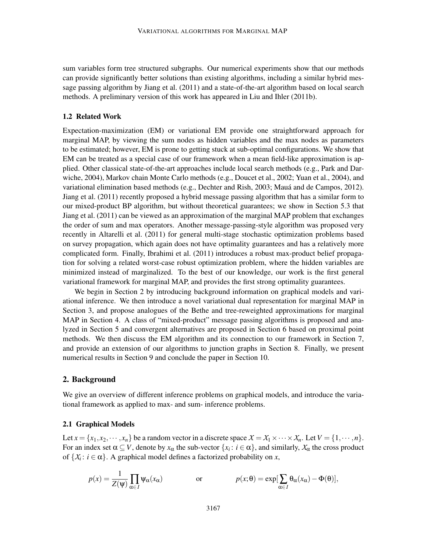sum variables form tree structured subgraphs. Our numerical experiments show that our methods can provide significantly better solutions than existing algorithms, including a similar hybrid message passing algorithm by Jiang et al. (2011) and a state-of-the-art algorithm based on local search methods. A preliminary version of this work has appeared in Liu and Ihler (2011b).

# 1.2 Related Work

Expectation-maximization (EM) or variational EM provide one straightforward approach for marginal MAP, by viewing the sum nodes as hidden variables and the max nodes as parameters to be estimated; however, EM is prone to getting stuck at sub-optimal configurations. We show that EM can be treated as a special case of our framework when a mean field-like approximation is applied. Other classical state-of-the-art approaches include local search methods (e.g., Park and Darwiche, 2004), Markov chain Monte Carlo methods (e.g., Doucet et al., 2002; Yuan et al., 2004), and variational elimination based methods (e.g., Dechter and Rish, 2003; Mauá and de Campos, 2012). Jiang et al. (2011) recently proposed a hybrid message passing algorithm that has a similar form to our mixed-product BP algorithm, but without theoretical guarantees; we show in Section 5.3 that Jiang et al. (2011) can be viewed as an approximation of the marginal MAP problem that exchanges the order of sum and max operators. Another message-passing-style algorithm was proposed very recently in Altarelli et al. (2011) for general multi-stage stochastic optimization problems based on survey propagation, which again does not have optimality guarantees and has a relatively more complicated form. Finally, Ibrahimi et al. (2011) introduces a robust max-product belief propagation for solving a related worst-case robust optimization problem, where the hidden variables are minimized instead of marginalized. To the best of our knowledge, our work is the first general variational framework for marginal MAP, and provides the first strong optimality guarantees.

We begin in Section 2 by introducing background information on graphical models and variational inference. We then introduce a novel variational dual representation for marginal MAP in Section 3, and propose analogues of the Bethe and tree-reweighted approximations for marginal MAP in Section 4. A class of "mixed-product" message passing algorithms is proposed and analyzed in Section 5 and convergent alternatives are proposed in Section 6 based on proximal point methods. We then discuss the EM algorithm and its connection to our framework in Section 7, and provide an extension of our algorithms to junction graphs in Section 8. Finally, we present numerical results in Section 9 and conclude the paper in Section 10.

# 2. Background

We give an overview of different inference problems on graphical models, and introduce the variational framework as applied to max- and sum- inference problems.

### 2.1 Graphical Models

Let  $x = \{x_1, x_2, \dots, x_n\}$  be a random vector in a discrete space  $X = X_1 \times \dots \times X_n$ . Let  $V = \{1, \dots, n\}$ . For an index set  $\alpha \subseteq V$ , denote by  $x_\alpha$  the sub-vector  $\{x_i : i \in \alpha\}$ , and similarly,  $X_\alpha$  the cross product of  $\{X_i : i \in \alpha\}$ . A graphical model defines a factorized probability on *x*,

$$
p(x) = \frac{1}{Z(\psi)} \prod_{\alpha \in I} \psi_{\alpha}(x_{\alpha})
$$
 or 
$$
p(x; \theta) = \exp[\sum_{\alpha \in I} \theta_{\alpha}(x_{\alpha}) - \Phi(\theta)],
$$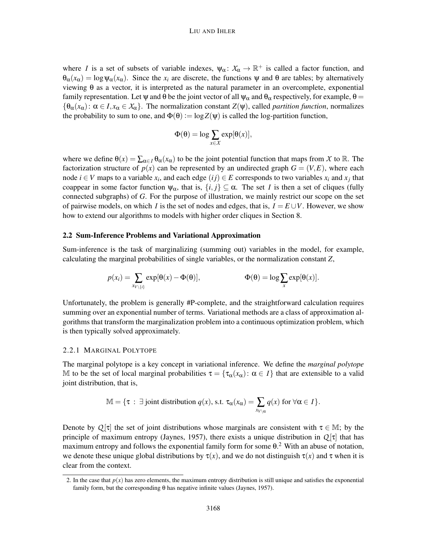#### LIU AND IHLER

where *I* is a set of subsets of variable indexes,  $\psi_{\alpha} \colon X_{\alpha} \to \mathbb{R}^+$  is called a factor function, and  $\theta_{\alpha}(x_{\alpha}) = \log \Psi_{\alpha}(x_{\alpha})$ . Since the  $x_i$  are discrete, the functions  $\Psi$  and  $\theta$  are tables; by alternatively viewing θ as a vector, it is interpreted as the natural parameter in an overcomplete, exponential family representation. Let  $\psi$  and  $\theta$  be the joint vector of all  $\psi_{\alpha}$  and  $\theta_{\alpha}$  respectively, for example,  $\theta =$  ${\theta_\alpha(x_\alpha): \alpha \in I, x_\alpha \in X_\alpha}$ . The normalization constant  $Z(\psi)$ , called *partition function*, normalizes the probability to sum to one, and  $\Phi(\theta) := \log Z(\psi)$  is called the log-partition function,

$$
\Phi(\theta) = \log \sum_{x \in \mathcal{X}} \exp[\theta(x)],
$$

where we define  $\theta(x) = \sum_{\alpha \in I} \theta_{\alpha}(x_{\alpha})$  to be the joint potential function that maps from X to R. The factorization structure of  $p(x)$  can be represented by an undirected graph  $G = (V, E)$ , where each node *i* ∈ *V* maps to a variable  $x_i$ , and each edge  $(ij)$  ∈ *E* corresponds to two variables  $x_i$  and  $x_j$  that coappear in some factor function  $\psi_{\alpha}$ , that is,  $\{i, j\} \subseteq \alpha$ . The set *I* is then a set of cliques (fully connected subgraphs) of *G*. For the purpose of illustration, we mainly restrict our scope on the set of pairwise models, on which *I* is the set of nodes and edges, that is,  $I = E \cup V$ . However, we show how to extend our algorithms to models with higher order cliques in Section 8.

#### 2.2 Sum-Inference Problems and Variational Approximation

Sum-inference is the task of marginalizing (summing out) variables in the model, for example, calculating the marginal probabilities of single variables, or the normalization constant *Z*,

$$
p(x_i) = \sum_{x_{V \setminus \{i\}}} \exp[\theta(x) - \Phi(\theta)], \qquad \Phi(\theta) = \log \sum_{x} \exp[\theta(x)].
$$

Unfortunately, the problem is generally #P-complete, and the straightforward calculation requires summing over an exponential number of terms. Variational methods are a class of approximation algorithms that transform the marginalization problem into a continuous optimization problem, which is then typically solved approximately.

### 2.2.1 MARGINAL POLYTOPE

The marginal polytope is a key concept in variational inference. We define the *marginal polytope* M to be the set of local marginal probabilities  $\tau = {\tau_\alpha(x_\alpha): \alpha \in I}$  that are extensible to a valid joint distribution, that is,

$$
\mathbb{M} = \{ \tau : \exists \text{ joint distribution } q(x), \text{ s.t. } \tau_{\alpha}(x_{\alpha}) = \sum_{x_{V \setminus \alpha}} q(x) \text{ for } \forall \alpha \in I \}.
$$

Denote by  $Q[\tau]$  the set of joint distributions whose marginals are consistent with  $\tau \in \mathbb{M}$ ; by the principle of maximum entropy (Jaynes, 1957), there exists a unique distribution in *Q* [τ] that has maximum entropy and follows the exponential family form for some  $\theta$ .<sup>2</sup> With an abuse of notation, we denote these unique global distributions by  $\tau(x)$ , and we do not distinguish  $\tau(x)$  and  $\tau$  when it is clear from the context.

<sup>2.</sup> In the case that  $p(x)$  has zero elements, the maximum entropy distribution is still unique and satisfies the exponential family form, but the corresponding  $\theta$  has negative infinite values (Jaynes, 1957).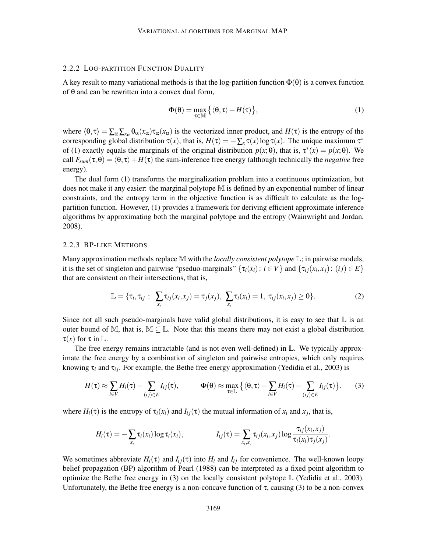#### 2.2.2 LOG-PARTITION FUNCTION DUALITY

A key result to many variational methods is that the log-partition function  $\Phi(\theta)$  is a convex function of θ and can be rewritten into a convex dual form,

$$
\Phi(\theta) = \max_{\tau \in \mathbb{M}} \left\{ \langle \theta, \tau \rangle + H(\tau) \right\},\tag{1}
$$

where  $\langle \theta, \tau \rangle = \sum_{\alpha} \sum_{x_{\alpha}} \theta_{\alpha}(x_{\alpha}) \tau_{\alpha}(x_{\alpha})$  is the vectorized inner product, and  $H(\tau)$  is the entropy of the corresponding global distribution  $\tau(x)$ , that is,  $H(\tau) = -\sum_{x} \tau(x) \log \tau(x)$ . The unique maximum  $\tau^*$ of (1) exactly equals the marginals of the original distribution  $p(x; \theta)$ , that is,  $\tau^*(x) = p(x; \theta)$ . We call  $F_{sum}(\tau, \theta) = \langle \theta, \tau \rangle + H(\tau)$  the sum-inference free energy (although technically the *negative* free energy).

The dual form (1) transforms the marginalization problem into a continuous optimization, but does not make it any easier: the marginal polytope M is defined by an exponential number of linear constraints, and the entropy term in the objective function is as difficult to calculate as the logpartition function. However, (1) provides a framework for deriving efficient approximate inference algorithms by approximating both the marginal polytope and the entropy (Wainwright and Jordan, 2008).

### 2.2.3 BP-LIKE METHODS

Many approximation methods replace M with the *locally consistent polytope* L; in pairwise models, it is the set of singleton and pairwise "pseduo-marginals"  $\{\tau_i(x_i): i \in V\}$  and  $\{\tau_{ij}(x_i, x_j): (ij) \in E\}$ that are consistent on their intersections, that is,

$$
\mathbb{L} = \{\tau_i, \tau_{ij} : \sum_{x_i} \tau_{ij}(x_i, x_j) = \tau_j(x_j), \sum_{x_i} \tau_i(x_i) = 1, \tau_{ij}(x_i, x_j) \ge 0\}.
$$
 (2)

Since not all such pseudo-marginals have valid global distributions, it is easy to see that  $\mathbb L$  is an outer bound of M, that is,  $M \subseteq \mathbb{L}$ . Note that this means there may not exist a global distribution  $\tau(x)$  for  $\tau$  in  $\mathbb{L}$ .

The free energy remains intractable (and is not even well-defined) in  $\mathbb{L}$ . We typically approximate the free energy by a combination of singleton and pairwise entropies, which only requires knowing  $\tau_i$  and  $\tau_{ij}$ . For example, the Bethe free energy approximation (Yedidia et al., 2003) is

$$
H(\tau) \approx \sum_{i \in V} H_i(\tau) - \sum_{(ij) \in E} I_{ij}(\tau), \qquad \Phi(\theta) \approx \max_{\tau \in \mathbb{L}} \left\{ \langle \theta, \tau \rangle + \sum_{i \in V} H_i(\tau) - \sum_{(ij) \in E} I_{ij}(\tau) \right\}, \qquad (3)
$$

where  $H_i(\tau)$  is the entropy of  $\tau_i(x_i)$  and  $I_{ij}(\tau)$  the mutual information of  $x_i$  and  $x_j$ , that is,

$$
H_i(\tau) = -\sum_{x_i} \tau_i(x_i) \log \tau_i(x_i), \qquad I_{ij}(\tau) = \sum_{x_i, x_j} \tau_{ij}(x_i, x_j) \log \frac{\tau_{ij}(x_i, x_j)}{\tau_i(x_i)\tau_j(x_j)}.
$$

We sometimes abbreviate  $H_i(\tau)$  and  $I_{ij}(\tau)$  into  $H_i$  and  $I_{ij}$  for convenience. The well-known loopy belief propagation (BP) algorithm of Pearl (1988) can be interpreted as a fixed point algorithm to optimize the Bethe free energy in (3) on the locally consistent polytope  $\mathbb{L}$  (Yedidia et al., 2003). Unfortunately, the Bethe free energy is a non-concave function of  $\tau$ , causing (3) to be a non-convex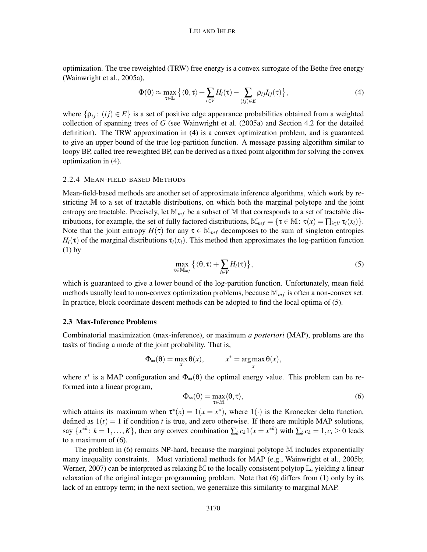optimization. The tree reweighted (TRW) free energy is a convex surrogate of the Bethe free energy (Wainwright et al., 2005a),

$$
\Phi(\theta) \approx \max_{\tau \in \mathbb{L}} \left\{ \langle \theta, \tau \rangle + \sum_{i \in V} H_i(\tau) - \sum_{(ij) \in E} \rho_{ij} I_{ij}(\tau) \right\},\tag{4}
$$

where  $\{p_{ij} : (ij) \in E\}$  is a set of positive edge appearance probabilities obtained from a weighted collection of spanning trees of *G* (see Wainwright et al. (2005a) and Section 4.2 for the detailed definition). The TRW approximation in (4) is a convex optimization problem, and is guaranteed to give an upper bound of the true log-partition function. A message passing algorithm similar to loopy BP, called tree reweighted BP, can be derived as a fixed point algorithm for solving the convex optimization in (4).

### 2.2.4 MEAN-FIELD-BASED METHODS

Mean-field-based methods are another set of approximate inference algorithms, which work by restricting M to a set of tractable distributions, on which both the marginal polytope and the joint entropy are tractable. Precisely, let  $\mathbb{M}_{m}$  be a subset of M that corresponds to a set of tractable distributions, for example, the set of fully factored distributions,  $\mathbb{M}_{mf} = \{ \tau \in \mathbb{M} : \tau(x) = \prod_{i \in V} \tau_i(x_i) \}.$ Note that the joint entropy  $H(\tau)$  for any  $\tau \in \mathbb{M}_{m}$  decomposes to the sum of singleton entropies  $H_i(\tau)$  of the marginal distributions  $\tau_i(x_i)$ . This method then approximates the log-partition function (1) by

$$
\max_{\tau \in \mathbb{M}_{mf}} \left\{ \langle \theta, \tau \rangle + \sum_{i \in V} H_i(\tau) \right\},\tag{5}
$$

which is guaranteed to give a lower bound of the log-partition function. Unfortunately, mean field methods usually lead to non-convex optimization problems, because  $\mathbb{M}_{mf}$  is often a non-convex set. In practice, block coordinate descent methods can be adopted to find the local optima of (5).

## 2.3 Max-Inference Problems

Combinatorial maximization (max-inference), or maximum *a posteriori* (MAP), problems are the tasks of finding a mode of the joint probability. That is,

$$
\Phi_{\infty}(\theta) = \max_{x} \theta(x), \qquad x^* = \arg \max_{x} \theta(x),
$$

where  $x^*$  is a MAP configuration and  $\Phi_{\infty}(\theta)$  the optimal energy value. This problem can be reformed into a linear program,

$$
\Phi_{\infty}(\theta) = \max_{\tau \in \mathbb{M}} \langle \theta, \tau \rangle,
$$
\n(6)

which attains its maximum when  $\tau^*(x) = 1(x = x^*)$ , where  $1(\cdot)$  is the Kronecker delta function, defined as  $1(t) = 1$  if condition *t* is true, and zero otherwise. If there are multiple MAP solutions, say  $\{x^{*k}: k = 1, ..., K\}$ , then any convex combination  $\sum_k c_k 1(x = x^{*k})$  with  $\sum_k c_k = 1, c_i \ge 0$  leads to a maximum of (6).

The problem in (6) remains NP-hard, because the marginal polytope M includes exponentially many inequality constraints. Most variational methods for MAP (e.g., Wainwright et al., 2005b; Werner, 2007) can be interpreted as relaxing M to the locally consistent polytop  $\mathbb{L}$ , yielding a linear relaxation of the original integer programming problem. Note that (6) differs from (1) only by its lack of an entropy term; in the next section, we generalize this similarity to marginal MAP.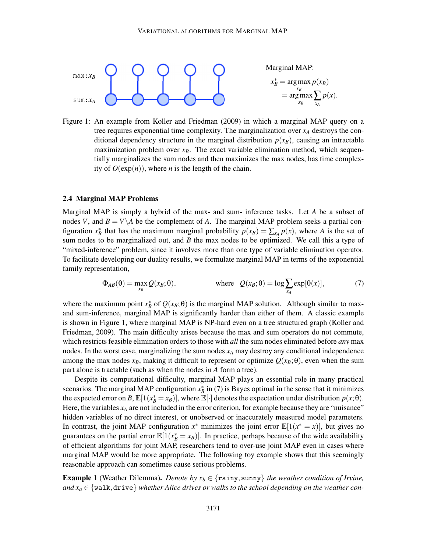

Marginal MAP:  $x_B^* = \arg \max_{x_B} p(x_B)$  $=$  argmax  $\sum_{x_B} p(x)$ .

Figure 1: An example from Koller and Friedman (2009) in which a marginal MAP query on a tree requires exponential time complexity. The marginalization over *x<sup>A</sup>* destroys the conditional dependency structure in the marginal distribution  $p(x)$ , causing an intractable maximization problem over  $x_B$ . The exact variable elimination method, which sequentially marginalizes the sum nodes and then maximizes the max nodes, has time complexity of  $O(\exp(n))$ , where *n* is the length of the chain.

### 2.4 Marginal MAP Problems

Marginal MAP is simply a hybrid of the max- and sum- inference tasks. Let *A* be a subset of nodes *V*, and  $B = V \setminus A$  be the complement of *A*. The marginal MAP problem seeks a partial configuration  $x_B^*$  that has the maximum marginal probability  $p(x_B) = \sum_{x_A} p(x)$ , where *A* is the set of sum nodes to be marginalized out, and *B* the max nodes to be optimized. We call this a type of "mixed-inference" problem, since it involves more than one type of variable elimination operator. To facilitate developing our duality results, we formulate marginal MAP in terms of the exponential family representation,

$$
\Phi_{AB}(\theta) = \max_{x_B} Q(x_B; \theta), \qquad \text{where} \quad Q(x_B; \theta) = \log \sum_{x_A} \exp[\theta(x)], \tag{7}
$$

where the maximum point  $x_B^*$  of  $Q(x_B; \theta)$  is the marginal MAP solution. Although similar to maxand sum-inference, marginal MAP is significantly harder than either of them. A classic example is shown in Figure 1, where marginal MAP is NP-hard even on a tree structured graph (Koller and Friedman, 2009). The main difficulty arises because the max and sum operators do not commute, which restricts feasible elimination orders to those with *all* the sum nodes eliminated before *any* max nodes. In the worst case, marginalizing the sum nodes *x<sup>A</sup>* may destroy any conditional independence among the max nodes  $x_B$ , making it difficult to represent or optimize  $Q(x_B;\theta)$ , even when the sum part alone is tractable (such as when the nodes in *A* form a tree).

Despite its computational difficulty, marginal MAP plays an essential role in many practical scenarios. The marginal MAP configuration  $x_B^*$  in (7) is Bayes optimal in the sense that it minimizes the expected error on *B*,  $\mathbb{E}[1(x_B^* = x_B)]$ , where  $\mathbb{E}[\cdot]$  denotes the expectation under distribution  $p(x; \theta)$ . Here, the variables  $x_A$  are not included in the error criterion, for example because they are "nuisance" hidden variables of no direct interest, or unobserved or inaccurately measured model parameters. In contrast, the joint MAP configuration  $x^*$  minimizes the joint error  $\mathbb{E}[1(x^* = x)]$ , but gives no guarantees on the partial error  $\mathbb{E}[1(x_B^* = x_B)]$ . In practice, perhaps because of the wide availability of efficient algorithms for joint MAP, researchers tend to over-use joint MAP even in cases where marginal MAP would be more appropriate. The following toy example shows that this seemingly reasonable approach can sometimes cause serious problems.

**Example 1** (Weather Dilemma). *Denote by*  $x_b \in \{\text{rainy}, \text{sunny}\}\$  the weather condition of Irvine, and  $x_a \in \{$  walk, drive $\}$  *whether Alice drives or walks to the school depending on the weather con-*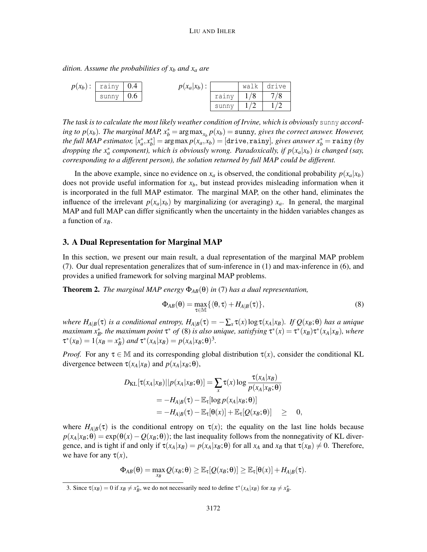*dition. Assume the probabilities of x<sup>b</sup> and x<sup>a</sup> are*

| $p(x_b):$   rainy   0.4 |     | $p(x_a x_b):$ |       |     | walk drive |
|-------------------------|-----|---------------|-------|-----|------------|
| sunny                   | 0.6 |               | rainy | 1/8 | 7/8        |
|                         |     |               | sunny |     |            |

*The task is to calculate the most likely weather condition of Irvine, which is obviously* sunny *according to p*( $x_b$ ). The marginal MAP,  $x_b^* = \arg \max_{x_b} p(x_b) = \text{sumny}$ , gives the correct answer. However,  $a$  *the full MAP estimator,*  $[x^*_a, x^*_b] = \argmax p(x_a, x_b) = [\texttt{drive}, \texttt{rainy}],$  gives answer  $x^*_b = \texttt{rainy}$  (by *dropping the x*<sup>∗</sup> *a component), which is obviously wrong. Paradoxically, if p*(*xa*|*xb*) *is changed (say, corresponding to a different person), the solution returned by full MAP could be different.*

In the above example, since no evidence on  $x_a$  is observed, the conditional probability  $p(x_a|x_b)$ does not provide useful information for *xb*, but instead provides misleading information when it is incorporated in the full MAP estimator. The marginal MAP, on the other hand, eliminates the influence of the irrelevant  $p(x_a|x_b)$  by marginalizing (or averaging)  $x_a$ . In general, the marginal MAP and full MAP can differ significantly when the uncertainty in the hidden variables changes as a function of *xB*.

### 3. A Dual Representation for Marginal MAP

In this section, we present our main result, a dual representation of the marginal MAP problem (7). Our dual representation generalizes that of sum-inference in (1) and max-inference in (6), and provides a unified framework for solving marginal MAP problems.

**Theorem 2.** *The marginal MAP energy*  $\Phi_{AB}(\theta)$  *in* (7) *has a dual representation*,

$$
\Phi_{AB}(\theta) = \max_{\tau \in \mathbb{M}} \{ \langle \theta, \tau \rangle + H_{A|B}(\tau) \},\tag{8}
$$

*where*  $H_{A|B}(\tau)$  *is a conditional entropy,*  $H_{A|B}(\tau) = -\sum_{x} \tau(x) \log \tau(x_A|x_B)$ *. If*  $Q(x_B;\theta)$  *has a unique maximum*  $x_B^*$ *, the maximum point*  $\tau^*$  *of* (8) *is also unique, satisfying*  $\tau^*(x) = \tau^*(x_B)\tau^*(x_A|x_B)$ *, where*  $\tau^*(x_B) = 1(x_B = x_B^*)$  and  $\tau^*(x_A | x_B) = p(x_A | x_B; \theta)^3$ .

*Proof.* For any  $\tau \in \mathbb{M}$  and its corresponding global distribution  $\tau(x)$ , consider the conditional KL divergence between  $\tau(x_A|x_B)$  and  $p(x_A|x_B;\theta)$ ,

$$
D_{\text{KL}}[\tau(x_A|x_B)||p(x_A|x_B;\theta)] = \sum_{x} \tau(x) \log \frac{\tau(x_A|x_B)}{p(x_A|x_B;\theta)}
$$
  
=  $-H_{A|B}(\tau) - \mathbb{E}_{\tau}[\log p(x_A|x_B;\theta)]$   
=  $-H_{A|B}(\tau) - \mathbb{E}_{\tau}[\theta(x)] + \mathbb{E}_{\tau}[Q(x_B;\theta)] \geq 0,$ 

where  $H_{A|B}(\tau)$  is the conditional entropy on  $\tau(x)$ ; the equality on the last line holds because  $p(x_A|x_B;\theta) = \exp(\theta(x) - Q(x_B;\theta))$ ; the last inequality follows from the nonnegativity of KL divergence, and is tight if and only if  $\tau(x_A|x_B) = p(x_A|x_B;\theta)$  for all  $x_A$  and  $x_B$  that  $\tau(x_B) \neq 0$ . Therefore, we have for any  $\tau(x)$ ,

$$
\Phi_{AB}(\theta) = \max_{x_B} Q(x_B; \theta) \geq \mathbb{E}_{\tau}[Q(x_B; \theta)] \geq \mathbb{E}_{\tau}[\theta(x)] + H_{A|B}(\tau).
$$

<sup>3.</sup> Since  $\tau(x_B) = 0$  if  $x_B \neq x_B^*$ , we do not necessarily need to define  $\tau^*(x_A|x_B)$  for  $x_B \neq x_B^*$ .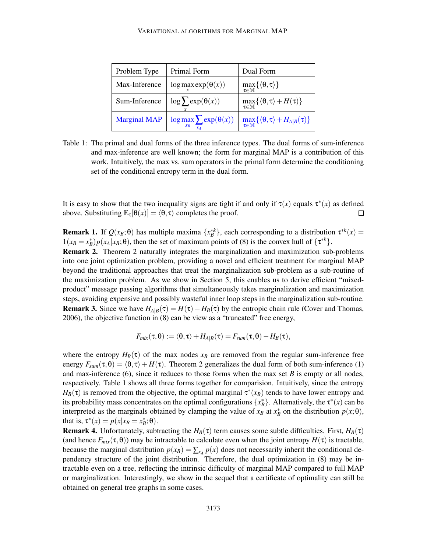| Problem Type        | Primal Form                                  | Dual Form                                                                       |
|---------------------|----------------------------------------------|---------------------------------------------------------------------------------|
| Max-Inference       | $\log \max exp(\theta(x))$                   | $\max_{\tau \in \mathbb{M}} \{ \langle \theta, \tau \rangle \}$                 |
| Sum-Inference       | $\log \sum \exp(\theta(x))$                  | $\max_{\tau \in \mathbb{M}} \{ \langle \theta, \tau \rangle + H(\tau) \}$       |
| <b>Marginal MAP</b> | $\log \max_{x_B} \sum_{x_B} \exp(\theta(x))$ | $\max_{\tau \in \mathbb{M}} \{ \langle \theta, \tau \rangle + H_{A B}(\tau) \}$ |

Table 1: The primal and dual forms of the three inference types. The dual forms of sum-inference and max-inference are well known; the form for marginal MAP is a contribution of this work. Intuitively, the max vs. sum operators in the primal form determine the conditioning set of the conditional entropy term in the dual form.

It is easy to show that the two inequality signs are tight if and only if  $\tau(x)$  equals  $\tau^*(x)$  as defined above. Substituting  $\mathbb{E}_{\tau}[\theta(x)] = \langle \theta, \tau \rangle$  completes the proof.  $\Box$ 

**Remark 1.** If  $Q(x_B; \theta)$  has multiple maxima  $\{x_B^{*k}\}\$ , each corresponding to a distribution  $\tau^{*k}(x) =$  $1(x_B = x_B^*) p(x_A | x_B; \theta)$ , then the set of maximum points of (8) is the convex hull of  $\{\tau^{*k}\}.$ Remark 2. Theorem 2 naturally integrates the marginalization and maximization sub-problems into one joint optimization problem, providing a novel and efficient treatment for marginal MAP beyond the traditional approaches that treat the marginalization sub-problem as a sub-routine of the maximization problem. As we show in Section 5, this enables us to derive efficient "mixedproduct" message passing algorithms that simultaneously takes marginalization and maximization steps, avoiding expensive and possibly wasteful inner loop steps in the marginalization sub-routine. **Remark 3.** Since we have  $H_{A|B}(\tau) = H(\tau) - H_B(\tau)$  by the entropic chain rule (Cover and Thomas, 2006), the objective function in (8) can be view as a "truncated" free energy,

$$
F_{mix}(\tau, \theta) := \langle \theta, \tau \rangle + H_{A|B}(\tau) = F_{sum}(\tau, \theta) - H_B(\tau),
$$

where the entropy  $H_B(\tau)$  of the max nodes  $x_B$  are removed from the regular sum-inference free energy  $F_{sum}(\tau, \theta) = \langle \theta, \tau \rangle + H(\tau)$ . Theorem 2 generalizes the dual form of both sum-inference (1) and max-inference (6), since it reduces to those forms when the max set *B* is empty or all nodes, respectively. Table 1 shows all three forms together for comparision. Intuitively, since the entropy  $H_B(\tau)$  is removed from the objective, the optimal marginal  $\tau^*(x)$  tends to have lower entropy and its probability mass concentrates on the optimal configurations  $\{x_B^*\}$ . Alternatively, the  $\tau^*(x)$  can be interpreted as the marginals obtained by clamping the value of  $x_B$  at  $x_B^*$  on the distribution  $p(x; \theta)$ , that is,  $\tau^*(x) = p(x|x_B = x_B^*; \theta)$ .

**Remark 4.** Unfortunately, subtracting the  $H_B(\tau)$  term causes some subtle difficulties. First,  $H_B(\tau)$ (and hence  $F_{mix}(\tau, \theta)$ ) may be intractable to calculate even when the joint entropy  $H(\tau)$  is tractable, because the marginal distribution  $p(x) = \sum_{x \in A} p(x)$  does not necessarily inherit the conditional dependency structure of the joint distribution. Therefore, the dual optimization in (8) may be intractable even on a tree, reflecting the intrinsic difficulty of marginal MAP compared to full MAP or marginalization. Interestingly, we show in the sequel that a certificate of optimality can still be obtained on general tree graphs in some cases.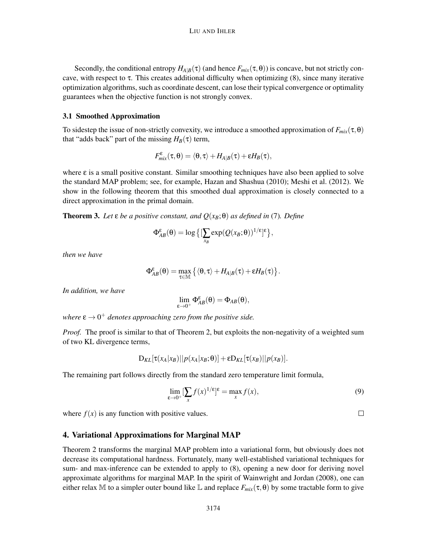Secondly, the conditional entropy  $H_{A|B}(\tau)$  (and hence  $F_{mix}(\tau,\theta)$ ) is concave, but not strictly concave, with respect to  $\tau$ . This creates additional difficulty when optimizing  $(8)$ , since many iterative optimization algorithms, such as coordinate descent, can lose their typical convergence or optimality guarantees when the objective function is not strongly convex.

## 3.1 Smoothed Approximation

To sidestep the issue of non-strictly convexity, we introduce a smoothed approximation of  $F_{mix}(\tau, \theta)$ that "adds back" part of the missing  $H_B(\tau)$  term,

$$
F^\epsilon_{\text{mix}}(\tau,\theta) = \langle \theta, \tau \rangle + H_{A|B}(\tau) + \epsilon H_B(\tau),
$$

where  $\varepsilon$  is a small positive constant. Similar smoothing techniques have also been applied to solve the standard MAP problem; see, for example, Hazan and Shashua (2010); Meshi et al. (2012). We show in the following theorem that this smoothed dual approximation is closely connected to a direct approximation in the primal domain.

**Theorem 3.** Let  $\varepsilon$  *be a positive constant, and*  $Q(x_B;\theta)$  *as defined in* (7)*. Define* 

$$
\Phi_{AB}^{\varepsilon}(\theta) = \log \big\{ \big[ \sum_{x_B} \exp(Q(x_B;\theta))^{1/\varepsilon} \big] \varepsilon \big\},\,
$$

*then we have*

$$
\Phi_{AB}^{\epsilon}(\theta) = \max_{\tau \in \mathbb{M}} \left\{ \langle \theta, \tau \rangle + H_{A|B}(\tau) + \epsilon H_B(\tau) \right\}.
$$

*In addition, we have*

$$
\lim_{\epsilon\to 0^+}\Phi_{AB}^\epsilon(\theta)=\Phi_{AB}(\theta),
$$

where  $\varepsilon \to 0^+$  denotes approaching zero from the positive side.

*Proof.* The proof is similar to that of Theorem 2, but exploits the non-negativity of a weighted sum of two KL divergence terms,

$$
D_{KL}[\tau(x_A|x_B)||p(x_A|x_B;\theta)]+\varepsilon D_{KL}[\tau(x_B)||p(x_B)].
$$

The remaining part follows directly from the standard zero temperature limit formula,

$$
\lim_{\varepsilon \to 0^+} [\sum_x f(x)^{1/\varepsilon}]^{\varepsilon} = \max_x f(x),\tag{9}
$$

 $\Box$ 

where  $f(x)$  is any function with positive values.

# 4. Variational Approximations for Marginal MAP

Theorem 2 transforms the marginal MAP problem into a variational form, but obviously does not decrease its computational hardness. Fortunately, many well-established variational techniques for sum- and max-inference can be extended to apply to (8), opening a new door for deriving novel approximate algorithms for marginal MAP. In the spirit of Wainwright and Jordan (2008), one can either relax M to a simpler outer bound like L and replace  $F_{mix}(\tau, \theta)$  by some tractable form to give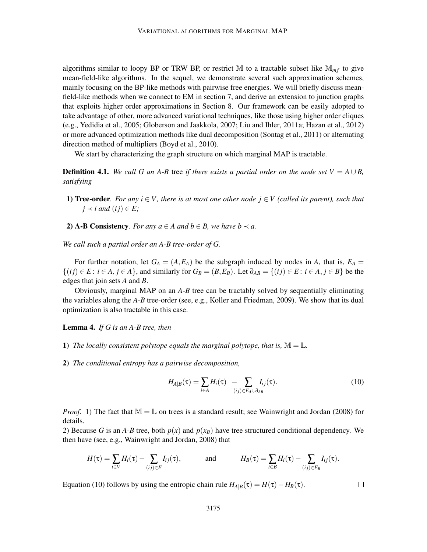algorithms similar to loopy BP or TRW BP, or restrict M to a tractable subset like  $\mathbb{M}_{mf}$  to give mean-field-like algorithms. In the sequel, we demonstrate several such approximation schemes, mainly focusing on the BP-like methods with pairwise free energies. We will briefly discuss meanfield-like methods when we connect to EM in section 7, and derive an extension to junction graphs that exploits higher order approximations in Section 8. Our framework can be easily adopted to take advantage of other, more advanced variational techniques, like those using higher order cliques (e.g., Yedidia et al., 2005; Globerson and Jaakkola, 2007; Liu and Ihler, 2011a; Hazan et al., 2012) or more advanced optimization methods like dual decomposition (Sontag et al., 2011) or alternating direction method of multipliers (Boyd et al., 2010).

We start by characterizing the graph structure on which marginal MAP is tractable.

**Definition 4.1.** *We call G an A-B* tree *if there exists a partial order on the node set*  $V = A \cup B$ , *satisfying*

- 1) **Tree-order**. For any  $i \in V$ , there is at most one other node  $j \in V$  (called its parent), such that  $j \prec i$  and  $(ij) \in E$ ;
- 2) **A-B Consistency**. For any  $a \in A$  and  $b \in B$ , we have  $b \prec a$ .

*We call such a partial order an A-B tree-order of G.*

For further notation, let  $G_A = (A, E_A)$  be the subgraph induced by nodes in *A*, that is,  $E_A =$  $\{(ij) \in E : i \in A, j \in A\}$ , and similarly for  $G_B = (B, E_B)$ . Let  $\partial_{AB} = \{(ij) \in E : i \in A, j \in B\}$  be the edges that join sets *A* and *B*.

Obviously, marginal MAP on an *A*-*B* tree can be tractably solved by sequentially eliminating the variables along the *A*-*B* tree-order (see, e.g., Koller and Friedman, 2009). We show that its dual optimization is also tractable in this case.

Lemma 4. *If G is an A-B tree, then*

- 1) The locally consistent polytope equals the marginal polytope, that is,  $\mathbb{M} = \mathbb{L}$ .
- 2) *The conditional entropy has a pairwise decomposition,*

$$
H_{A|B}(\tau) = \sum_{i \in A} H_i(\tau) - \sum_{(ij) \in E_A \cup \partial_{AB}} I_{ij}(\tau).
$$
\n(10)

 $\Box$ 

*Proof.* 1) The fact that  $M = L$  on trees is a standard result; see Wainwright and Jordan (2008) for details.

2) Because *G* is an *A*-*B* tree, both  $p(x)$  and  $p(x)$  have tree structured conditional dependency. We then have (see, e.g., Wainwright and Jordan, 2008) that

$$
H(\tau) = \sum_{i \in V} H_i(\tau) - \sum_{(ij) \in E} I_{ij}(\tau), \quad \text{and} \quad H_B(\tau) = \sum_{i \in B} H_i(\tau) - \sum_{(ij) \in E_B} I_{ij}(\tau).
$$

Equation (10) follows by using the entropic chain rule  $H_{A|B}(\tau) = H(\tau) - H_B(\tau)$ .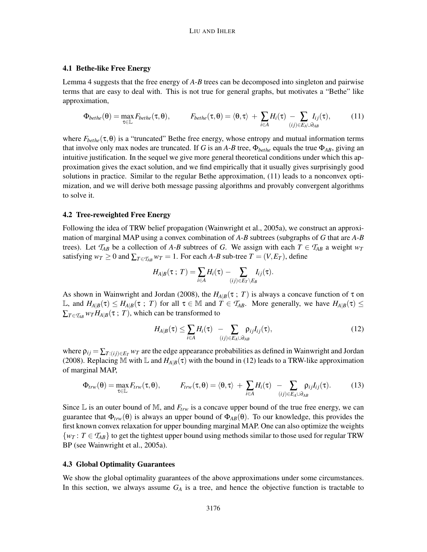# 4.1 Bethe-like Free Energy

Lemma 4 suggests that the free energy of *A*-*B* trees can be decomposed into singleton and pairwise terms that are easy to deal with. This is not true for general graphs, but motivates a "Bethe" like approximation,

$$
\Phi_{bethe}(\theta) = \max_{\tau \in \mathbb{L}} F_{bethe}(\tau, \theta), \qquad F_{bethe}(\tau, \theta) = \langle \theta, \tau \rangle + \sum_{i \in A} H_i(\tau) - \sum_{(ij) \in E_A \cup \partial_{AB}} I_{ij}(\tau), \qquad (11)
$$

where  $F_{bethe}(\tau,\theta)$  is a "truncated" Bethe free energy, whose entropy and mutual information terms that involve only max nodes are truncated. If *G* is an *A*-*B* tree,  $\Phi_{bethe}$  equals the true  $\Phi_{AB}$ , giving an intuitive justification. In the sequel we give more general theoretical conditions under which this approximation gives the exact solution, and we find empirically that it usually gives surprisingly good solutions in practice. Similar to the regular Bethe approximation, (11) leads to a nonconvex optimization, and we will derive both message passing algorithms and provably convergent algorithms to solve it.

# 4.2 Tree-reweighted Free Energy

Following the idea of TRW belief propagation (Wainwright et al., 2005a), we construct an approximation of marginal MAP using a convex combination of *A*-*B* subtrees (subgraphs of *G* that are *A*-*B* trees). Let  $T_{AB}$  be a collection of *A*-*B* subtrees of *G*. We assign with each  $T \in T_{AB}$  a weight  $w_T$ satisfying  $w_T \geq 0$  and  $\sum_{T \in T_{AB}} w_T = 1$ . For each *A-B* sub-tree  $T = (V, E_T)$ , define

$$
H_{A|B}(\tau\;;\;T)=\sum_{i\in A}H_i(\tau)-\sum_{(ij)\in E_T\setminus E_B}I_{ij}(\tau).
$$

As shown in Wainwright and Jordan (2008), the  $H_{A|B}(\tau; T)$  is always a concave function of  $\tau$  on L, and  $H_{A|B}(\tau) \le H_{A|B}(\tau; T)$  for all  $\tau \in \mathbb{M}$  and  $T \in \mathcal{T}_{AB}$ . More generally, we have  $H_{A|B}(\tau) \le H_{A|B}(\tau)$  $\sum_{T \in \mathcal{T}_{AB}} w_T H_{A|B}(\tau; T)$ , which can be transformed to

$$
H_{A|B}(\tau) \le \sum_{i \in A} H_i(\tau) - \sum_{(ij) \in E_A \cup \partial_{AB}} \rho_{ij} I_{ij}(\tau), \qquad (12)
$$

where  $\rho_{ij} = \sum_{T: (ij) \in E_T} w_T$  are the edge appearance probabilities as defined in Wainwright and Jordan (2008). Replacing M with L and  $H_{A|B}(\tau)$  with the bound in (12) leads to a TRW-like approximation of marginal MAP,

$$
\Phi_{trw}(\theta) = \max_{\tau \in \mathbb{L}} F_{trw}(\tau, \theta), \qquad F_{trw}(\tau, \theta) = \langle \theta, \tau \rangle + \sum_{i \in A} H_i(\tau) - \sum_{(ij) \in E_A \cup \partial_{AB}} \rho_{ij} I_{ij}(\tau). \qquad (13)
$$

Since  $\mathbb L$  is an outer bound of  $\mathbb M$ , and  $F_{trw}$  is a concave upper bound of the true free energy, we can guarantee that  $\Phi_{trw}(\theta)$  is always an upper bound of  $\Phi_{AB}(\theta)$ . To our knowledge, this provides the first known convex relaxation for upper bounding marginal MAP. One can also optimize the weights  $\{w_T : T \in T_{AB}\}$  to get the tightest upper bound using methods similar to those used for regular TRW BP (see Wainwright et al., 2005a).

### 4.3 Global Optimality Guarantees

We show the global optimality guarantees of the above approximations under some circumstances. In this section, we always assume  $G_A$  is a tree, and hence the objective function is tractable to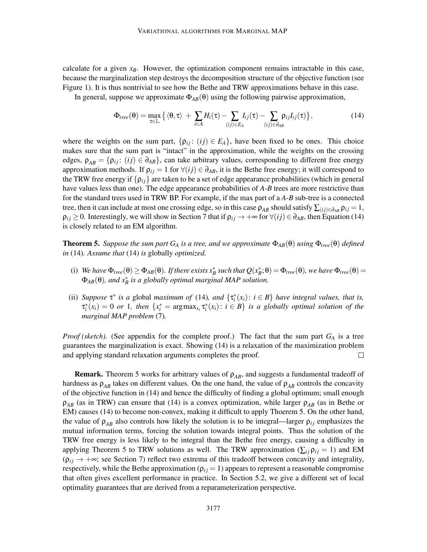calculate for a given  $x_B$ . However, the optimization component remains intractable in this case, because the marginalization step destroys the decomposition structure of the objective function (see Figure 1). It is thus nontrivial to see how the Bethe and TRW approximations behave in this case.

In general, suppose we approximate Φ*AB*(θ) using the following pairwise approximation,

$$
\Phi_{tree}(\theta) = \max_{\tau \in \mathbb{L}} \left\{ \langle \theta, \tau \rangle + \sum_{i \in A} H_i(\tau) - \sum_{(ij) \in E_A} I_{ij}(\tau) - \sum_{(ij) \in \partial_{AB}} \rho_{ij} I_{ij}(\tau) \right\},\tag{14}
$$

where the weights on the sum part,  $\{\rho_{ij}: (ij) \in E_A\}$ , have been fixed to be ones. This choice makes sure that the sum part is "intact" in the approximation, while the weights on the crossing edges,  $\rho_{AB} = \{\rho_{ij}: (ij) \in \partial_{AB}\}\$ , can take arbitrary values, corresponding to different free energy approximation methods. If  $\rho_{ij} = 1$  for  $\forall (ij) \in \partial_{AB}$ , it is the Bethe free energy; it will correspond to the TRW free energy if  $\{\rho_{ij}\}\$  are taken to be a set of edge appearance probabilities (which in general have values less than one). The edge appearance probabilities of *A*-*B* trees are more restrictive than for the standard trees used in TRW BP. For example, if the max part of a *A*-*B* sub-tree is a connected tree, then it can include at most one crossing edge, so in this case  $\rho_{AB}$  should satisfy  $\sum_{(ij)\in\partial_{AB}}\rho_{ij}=1$ ,  $\rho_{ij} \geq 0$ . Interestingly, we will show in Section 7 that if  $\rho_{ij} \to +\infty$  for  $\forall (ij) \in \partial_{AB}$ , then Equation (14) is closely related to an EM algorithm.

**Theorem 5.** *Suppose the sum part*  $G_A$  *is a tree, and we approximate*  $\Phi_{AB}(\theta)$  *using*  $\Phi_{tree}(\theta)$  *defined in* (14)*. Assume that* (14) *is* globally *optimized.*

- (i) *We have*  $\Phi_{tree}(\theta) \ge \Phi_{AB}(\theta)$ *. If there exists*  $x_B^*$  such that  $Q(x_B^*;\theta) = \Phi_{tree}(\theta)$ *, we have*  $\Phi_{tree}(\theta) =$ Φ*AB*(θ)*, and x*<sup>∗</sup> *B is a globally optimal marginal MAP solution.*
- (ii) *Suppose*  $\tau^*$  *is a* global *maximum of* (14)*, and*  $\{\tau_i^*(x_i): i \in B\}$  *have integral values, that is,*  $\tau_i^*(x_i) = 0$  *or* 1*, then*  $\{x_i^* = \arg \max_{x_i} \tau_i^*(x_i) : i \in B\}$  *is a globally optimal solution of the marginal MAP problem* (7)*.*

*Proof (sketch).* (See appendix for the complete proof.) The fact that the sum part *G<sup>A</sup>* is a tree guarantees the marginalization is exact. Showing (14) is a relaxation of the maximization problem and applying standard relaxation arguments completes the proof.  $\Box$ 

**Remark.** Theorem 5 works for arbitrary values of  $\rho_{AB}$ , and suggests a fundamental tradeoff of hardness as  $\rho_{AB}$  takes on different values. On the one hand, the value of  $\rho_{AB}$  controls the concavity of the objective function in (14) and hence the difficulty of finding a global optimum; small enough  $\rho_{AB}$  (as in TRW) can ensure that (14) is a convex optimization, while larger  $\rho_{AB}$  (as in Bethe or EM) causes (14) to become non-convex, making it difficult to apply Thoerem 5. On the other hand, the value of  $\rho_{AB}$  also controls how likely the solution is to be integral—larger  $\rho_{ij}$  emphasizes the mutual information terms, forcing the solution towards integral points. Thus the solution of the TRW free energy is less likely to be integral than the Bethe free energy, causing a difficulty in applying Theorem 5 to TRW solutions as well. The TRW approximation ( $\sum_{i}$   $\rho_{ij}$  = 1) and EM  $(p_{ij} \rightarrow +\infty;$  see Section 7) reflect two extrema of this tradeoff between concavity and integrality, respectively, while the Bethe approximation  $(\rho_{ij} = 1)$  appears to represent a reasonable compromise that often gives excellent performance in practice. In Section 5.2, we give a different set of local optimality guarantees that are derived from a reparameterization perspective.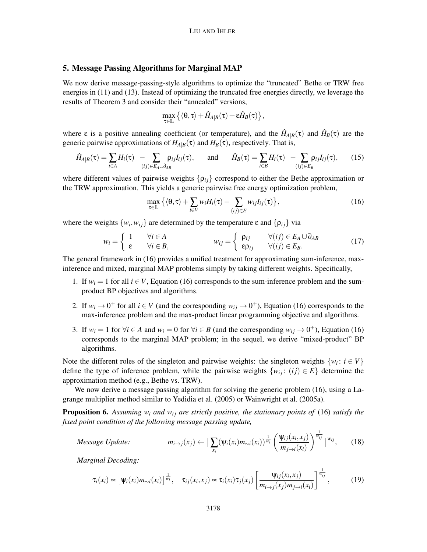# 5. Message Passing Algorithms for Marginal MAP

We now derive message-passing-style algorithms to optimize the "truncated" Bethe or TRW free energies in (11) and (13). Instead of optimizing the truncated free energies directly, we leverage the results of Theorem 3 and consider their "annealed" versions,

$$
\max_{\tau\in\mathbb{L}}\big\{\langle\theta,\tau\rangle+\hat{H}_{A|B}(\tau)+\epsilon\hat{H}_{B}(\tau)\big\},
$$

where  $\varepsilon$  is a positive annealing coefficient (or temperature), and the  $\hat{H}_{A|B}(\tau)$  and  $\hat{H}_{B}(\tau)$  are the generic pairwise approximations of  $H_{A|B}(\tau)$  and  $H_B(\tau)$ , respectively. That is,

$$
\hat{H}_{A|B}(\tau) = \sum_{i \in A} H_i(\tau) - \sum_{(ij) \in E_A \cup \partial_{AB}} \rho_{ij} I_{ij}(\tau), \quad \text{and} \quad \hat{H}_B(\tau) = \sum_{i \in B} H_i(\tau) - \sum_{(ij) \in E_B} \rho_{ij} I_{ij}(\tau), \quad (15)
$$

where different values of pairwise weights  $\{\rho_{ij}\}$  correspond to either the Bethe approximation or the TRW approximation. This yields a generic pairwise free energy optimization problem,

$$
\max_{\tau \in \mathbb{L}} \left\{ \langle \theta, \tau \rangle + \sum_{i \in V} w_i H_i(\tau) - \sum_{(ij) \in E} w_{ij} I_{ij}(\tau) \right\},\tag{16}
$$

where the weights  $\{w_i, w_{ij}\}$  are determined by the temperature  $\varepsilon$  and  $\{\rho_{ij}\}\$ via

$$
w_i = \begin{cases} 1 & \forall i \in A \\ \varepsilon & \forall i \in B, \end{cases} \qquad w_{ij} = \begin{cases} \rho_{ij} & \forall (ij) \in E_A \cup \partial_{AB} \\ \varepsilon \rho_{ij} & \forall (ij) \in E_B. \end{cases} \qquad (17)
$$

The general framework in (16) provides a unified treatment for approximating sum-inference, maxinference and mixed, marginal MAP problems simply by taking different weights. Specifically,

- 1. If  $w_i = 1$  for all  $i \in V$ , Equation (16) corresponds to the sum-inference problem and the sumproduct BP objectives and algorithms.
- 2. If  $w_i \rightarrow 0^+$  for all  $i \in V$  (and the corresponding  $w_{ij} \rightarrow 0^+$ ), Equation (16) corresponds to the max-inference problem and the max-product linear programming objective and algorithms.
- 3. If  $w_i = 1$  for  $\forall i \in A$  and  $w_i = 0$  for  $\forall i \in B$  (and the corresponding  $w_{ij} \rightarrow 0^+$ ), Equation (16) corresponds to the marginal MAP problem; in the sequel, we derive "mixed-product" BP algorithms.

Note the different roles of the singleton and pairwise weights: the singleton weights  $\{w_i : i \in V\}$ define the type of inference problem, while the pairwise weights  $\{w_i : (i j) \in E\}$  determine the approximation method (e.g., Bethe vs. TRW).

We now derive a message passing algorithm for solving the generic problem (16), using a Lagrange multiplier method similar to Yedidia et al. (2005) or Wainwright et al. (2005a).

Proposition 6. Assuming  $w_i$  and  $w_{ij}$  are strictly positive, the stationary points of (16) satisfy the *fixed point condition of the following message passing update,*

*Message Update:* 
$$
m_{i\rightarrow j}(x_j) \leftarrow \left[\sum_{x_i} (\psi_i(x_i)m_{\sim i}(x_i))^{\frac{1}{w_i}} \left(\frac{\psi_{ij}(x_i,x_j)}{m_{j\rightarrow i}(x_i)}\right)^{\frac{1}{w_{ij}}}\right]^{w_{ij}},
$$
 (18)

*Marginal Decoding:*

$$
\tau_i(x_i) \propto \left[\psi_i(x_i)m_{\sim i}(x_i)\right]^{\frac{1}{w_i}}, \quad \tau_{ij}(x_i, x_j) \propto \tau_i(x_i)\tau_j(x_j) \left[\frac{\psi_{ij}(x_i, x_j)}{m_{i \to j}(x_j)m_{j \to i}(x_i)}\right]^{\frac{1}{w_{ij}}},\tag{19}
$$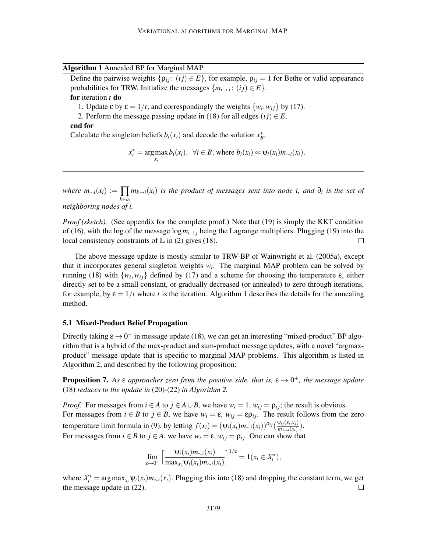Algorithm 1 Annealed BP for Marginal MAP

Define the pairwise weights  $\{\rho_{ij}: (ij) \in E\}$ , for example,  $\rho_{ij} = 1$  for Bethe or valid appearance probabilities for TRW. Initialize the messages  $\{m_{i\to j}: (ij) \in E\}$ .

# for iteration *t* do

- 1. Update  $\varepsilon$  by  $\varepsilon = 1/t$ , and correspondingly the weights  $\{w_i, w_{ij}\}$  by (17).
- 2. Perform the message passing update in (18) for all edges  $(ij) \in E$ .

# end for

Calculate the singleton beliefs  $b_i(x_i)$  and decode the solution  $x_B^*$ ,

$$
x_i^* = \underset{x_i}{\arg \max} b_i(x_i), \ \ \forall i \in B, \text{ where } b_i(x_i) \propto \psi_i(x_i) m_{\sim i}(x_i).
$$

*where*  $m_{\sim i}(x_i) \mathrel{\mathop:}= \prod$ *k*∈∂*<sup>i</sup>*  $m_{k\rightarrow i}(x_i)$  *is the product of messages sent into node i, and*  $\partial_i$  *is the set of neighboring nodes of i.*

*Proof (sketch).* (See appendix for the complete proof.) Note that (19) is simply the KKT condition of (16), with the log of the message  $\log m_{i\to j}$  being the Lagrange multipliers. Plugging (19) into the local consistency constraints of  $\mathbb L$  in (2) gives (18).  $\Box$ 

The above message update is mostly similar to TRW-BP of Wainwright et al. (2005a), except that it incorporates general singleton weights  $w_i$ . The marginal MAP problem can be solved by running (18) with  $\{w_i, w_{ij}\}$  defined by (17) and a scheme for choosing the temperature ε, either directly set to be a small constant, or gradually decreased (or annealed) to zero through iterations, for example, by  $\varepsilon = 1/t$  where t is the iteration. Algorithm 1 describes the details for the annealing method.

#### 5.1 Mixed-Product Belief Propagation

Directly taking  $\epsilon \rightarrow 0^+$  in message update (18), we can get an interesting "mixed-product" BP algorithm that is a hybrid of the max-product and sum-product message updates, with a novel "argmaxproduct" message update that is specific to marginal MAP problems. This algorithm is listed in Algorithm 2, and described by the following proposition:

**Proposition 7.** As  $\varepsilon$  approaches zero from the positive side, that is,  $\varepsilon \to 0^+$ , the message update (18) *reduces to the update in* (20)*-*(22) *in Algorithm 2.*

*Proof.* For messages from  $i \in A$  to  $j \in A \cup B$ , we have  $w_i = 1$ ,  $w_{ij} = \rho_{ij}$ ; the result is obvious. For messages from  $i \in B$  to  $j \in B$ , we have  $w_i = \varepsilon$ ,  $w_{ij} = \varepsilon \rho_{ij}$ . The result follows from the zero temperature limit formula in (9), by letting  $f(x_i) = (\psi_i(x_i)m_{\sim i}(x_i))^{\rho_{ij}}(\frac{\psi_{ij}(x_i,x_j)}{m_{\sim i}(x_i)})$  $\frac{\varphi_{ij}(\lambda_i,\lambda_j)}{m_{j\rightarrow i}(x_i)}$ ). For messages from  $i \in B$  to  $j \in A$ , we have  $w_i = \varepsilon$ ,  $w_{ij} = \rho_{ij}$ . One can show that

$$
\lim_{\varepsilon \to 0^+} \left[ \frac{\Psi_i(x_i) m_{\sim i}(x_i)}{\max_{x_i} \Psi_i(x_i) m_{\sim i}(x_i)} \right]^{1/\varepsilon} = 1(x_i \in \mathcal{X}_i^*),
$$

where  $X_i^* = \arg \max_{x_i} \psi_i(x_i) m_{\sim i}(x_i)$ . Plugging this into (18) and dropping the constant term, we get the message update in (22).  $\Box$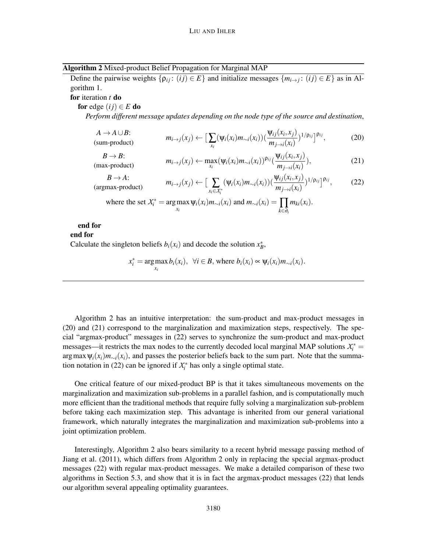| Algorithm 2 Mixed-product Belief Propagation for Marginal MAP |  |  |
|---------------------------------------------------------------|--|--|
|                                                               |  |  |

Define the pairwise weights  $\{p_{ij} : (ij) \in E\}$  and initialize messages  $\{m_{i \to j} : (ij) \in E\}$  as in Algorithm 1.

for iteration *t* do

for edge  $(ij) \in E$  do

*Perform different message updates depending on the node type of the source and destination*,

$$
A \to A \cup B: \t m_{i \to j}(x_j) \leftarrow \left[ \sum_{x_i} (\psi_i(x_i) m_{\sim i}(x_i)) (\frac{\psi_{ij}(x_i, x_j)}{m_{j \to i}(x_i)})^{1/\rho_{ij}} \right]^{\rho_{ij}}, \t (20)
$$

 $B \rightarrow B$ : (max-product) *<sup>m</sup>i*→*j*(*xj*) <sup>←</sup> max

$$
m_{i\to j}(x_j) \leftarrow \max_{x_i} (\psi_i(x_i) m_{\sim i}(x_i))^{\rho_{ij}} \left( \frac{\psi_{ij}(x_i, x_j)}{m_{j\to i}(x_i)} \right),\tag{21}
$$

 $B \rightarrow A$ :  $m_i \rightarrow j(x_j) \leftarrow \left[ \sum_{x \in Y}$ <br>(argmax-product) *xi*∈*X* ∗ *i*  $(\psi_i(x_i)m_{\sim i}(x_i))(\frac{\psi_{ij}(x_i,x_j)}{m_{\sim i}(x_i)})$  $\frac{\psi_{ij}(x_i,x_j)}{m_{j\rightarrow i}(x_i)}$ <sup>1/</sup>ρ<sub>ij</sub>  $]^{p_{ij}}$  $(22)$ 

where the set 
$$
X_i^* = \arg \max_{x_i} \psi_i(x_i) m_{\sim i}(x_i)
$$
 and  $m_{\sim i}(x_i) = \prod_{k \in \partial_i} m_{ki}(x_i)$ .

# end for

# end for

Calculate the singleton beliefs  $b_i(x_i)$  and decode the solution  $x_B^*$ ,

$$
x_i^* = \arg \max_{x_i} b_i(x_i), \ \ \forall i \in B, \text{ where } b_i(x_i) \propto \psi_i(x_i) m_{\sim i}(x_i).
$$

Algorithm 2 has an intuitive interpretation: the sum-product and max-product messages in (20) and (21) correspond to the marginalization and maximization steps, respectively. The special "argmax-product" messages in (22) serves to synchronize the sum-product and max-product messages—it restricts the max nodes to the currently decoded local marginal MAP solutions  $X_i^*$  =  $\arg \max \Psi_i(x_i) m_{\sim i}(x_i)$ , and passes the posterior beliefs back to the sum part. Note that the summation notation in (22) can be ignored if  $X_i^*$  has only a single optimal state.

One critical feature of our mixed-product BP is that it takes simultaneous movements on the marginalization and maximization sub-problems in a parallel fashion, and is computationally much more efficient than the traditional methods that require fully solving a marginalization sub-problem before taking each maximization step. This advantage is inherited from our general variational framework, which naturally integrates the marginalization and maximization sub-problems into a joint optimization problem.

Interestingly, Algorithm 2 also bears similarity to a recent hybrid message passing method of Jiang et al. (2011), which differs from Algorithm 2 only in replacing the special argmax-product messages (22) with regular max-product messages. We make a detailed comparison of these two algorithms in Section 5.3, and show that it is in fact the argmax-product messages (22) that lends our algorithm several appealing optimality guarantees.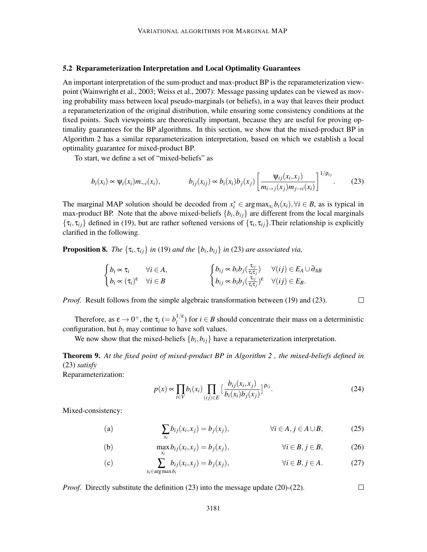#### 5.2 Reparameterization Interpretation and Local Optimality Guarantees

An important interpretation of the sum-product and max-product BP is the reparameterization viewpoint (Wainwright et al., 2003; Weiss et al., 2007): Message passing updates can be viewed as moving probability mass between local pseudo-marginals (or beliefs), in a way that leaves their product a reparameterization of the original distribution, while ensuring some consistency conditions at the fixed points. Such viewpoints are theoretically important, because they are useful for proving optimality guarantees for the BP algorithms. In this section, we show that the mixed-product BP in Algorithm 2 has a similar reparameterization interpretation, based on which we establish a local optimality guarantee for mixed-product BP.

To start, we define a set of "mixed-beliefs" as

$$
b_i(x_i) \propto \psi_i(x_i) m_{\sim i}(x_i), \qquad b_{ij}(x_{ij}) \propto b_i(x_i) b_j(x_j) \left[ \frac{\psi_{ij}(x_i, x_j)}{m_{i \to j}(x_j) m_{j \to i}(x_i)} \right]^{1/p_{ij}}.
$$
 (23)

The marginal MAP solution should be decoded from  $x_i^* \in \arg \max_{x_i} b_i(x_i), \forall i \in B$ , as is typical in max-product BP. Note that the above mixed-beliefs  $\{b_i, b_{ij}\}$  are different from the local marginals  $\{\tau_i, \tau_{ij}\}\$  defined in (19), but are rather softened versions of  $\{\tau_i, \tau_{ij}\}\$ . Their relationship is explicitly clarified in the following.

**Proposition 8.** *The*  $\{\tau_i, \tau_{ij}\}$  *in* (19) *and the*  $\{b_i, b_{ij}\}$  *in* (23) *are associated via,* 

$$
\begin{cases} b_i \propto \tau_i & \forall i \in A, \\ b_i \propto (\tau_i)^{\epsilon} & \forall i \in B \end{cases} \qquad \begin{cases} b_{ij} \propto b_i b_j(\frac{\tau_{ij}}{\tau_i \tau_j}) & \forall (ij) \in E_A \cup \partial_{AB} \\ b_{ij} \propto b_i b_j(\frac{\tau_{ij}}{\tau_i \tau_j})^{\epsilon} & \forall (ij) \in E_B. \end{cases}
$$

*Proof.* Result follows from the simple algebraic transformation between (19) and (23).

Therefore, as  $\varepsilon \to 0^+$ , the  $\tau_i \, (= b_i^{1/\varepsilon})$  $i^{(i)}$  for  $i \in B$  should concentrate their mass on a deterministic configuration, but  $b_i$  may continue to have soft values.

We now show that the mixed-beliefs  $\{b_i, b_{ij}\}$  have a reparameterization interpretation.

Theorem 9. *At the fixed point of mixed-product BP in Algorithm 2 , the mixed-beliefs defined in* (23) *satisfy*

Reparameterization:

$$
p(x) \propto \prod_{i \in V} b_i(x_i) \prod_{(ij) \in E} \Big[ \frac{b_{ij}(x_i, x_j)}{b_i(x_i)b_j(x_j)} \Big]^{p_{ij}}.
$$
 (24)

 $\Box$ 

 $\Box$ 

Mixed-consistency:

(a) 
$$
\sum_{x_i} b_{ij}(x_i, x_j) = b_j(x_j), \qquad \forall i \in A, j \in A \cup B,
$$
 (25)

(b) 
$$
\max_{x_i} b_{ij}(x_i, x_j) = b_j(x_j), \qquad \forall i \in B, j \in B,
$$
 (26)

(c) 
$$
\sum_{x_i \in \arg\max b_i} b_{ij}(x_i, x_j) = b_j(x_j), \qquad \forall i \in B, j \in A.
$$
 (27)

*Proof.* Directly substitute the definition (23) into the message update (20)-(22).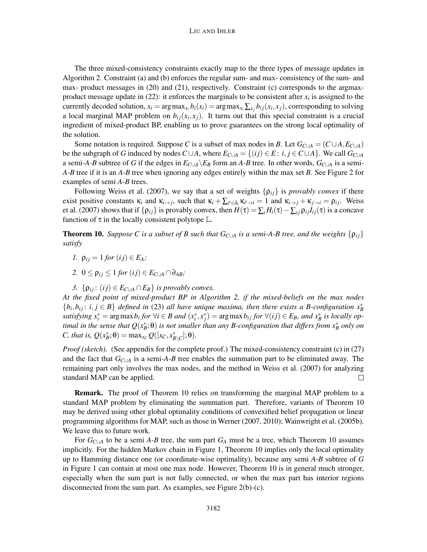#### LIU AND IHLER

The three mixed-consistency constraints exactly map to the three types of message updates in Algorithm 2. Constraint (a) and (b) enforces the regular sum- and max- consistency of the sum- and max- product messages in (20) and (21), respectively. Constraint (c) corresponds to the argmaxproduct message update in  $(22)$ : it enforces the marginals to be consistent after  $x_i$  is assigned to the currently decoded solution,  $x_i = \arg \max_{x_i} b_i(x_i) = \arg \max_{x_i} \sum_{x_j} b_{ij}(x_i, x_j)$ , corresponding to solving a local marginal MAP problem on  $b_{ij}(x_i, x_j)$ . It turns out that this special constraint is a crucial ingredient of mixed-product BP, enabling us to prove guarantees on the strong local optimality of the solution.

Some notation is required. Suppose *C* is a subset of max nodes in *B*. Let  $G_{C\cup A} = (C \cup A, E_{C\cup A})$ be the subgraph of *G* induced by nodes  $C \cup A$ , where  $E_{C \cup A} = \{(ij) \in E : i, j \in C \cup A\}$ . We call  $G_{C \cup A}$ a semi-*A*-*B* subtree of *G* if the edges in  $E_{C \cup A} \setminus E_B$  form an *A*-*B* tree. In other words,  $G_{C \cup A}$  is a semi-*A*-*B* tree if it is an *A*-*B* tree when ignoring any edges entirely within the max set *B*. See Figure 2 for examples of semi *A*-*B* trees.

Following Weiss et al. (2007), we say that a set of weights  $\{\rho_{ij}\}\$ is *provably convex* if there exist positive constants  $\kappa_i$  and  $\kappa_{i\to j}$ , such that  $\kappa_i + \sum_{i' \in \partial_i} \kappa_{i' \to i} = 1$  and  $\kappa_{i\to j} + \kappa_{j\to i} = \rho_{ij}$ . Weiss et al. (2007) shows that if  $\{\rho_{ij}\}\$ is provably convex, then  $H(\tau) = \sum_i H_i(\tau) - \sum_{ij} \rho_{ij} I_{ij}(\tau)$  is a concave function of  $\tau$  in the locally consistent polytope  $\mathbb{L}$ .

**Theorem 10.** *Suppose C is a subset of B such that*  $G_{C\cup A}$  *is a semi-A-B tree, and the weights*  $\{p_{ij}\}$ *satisfy*

- *1.*  $\rho_{ij} = 1$  *for*  $(ij) \in E_A$ *;*
- 2.  $0 \leq \rho_{ii} \leq 1$  *for*  $(ij) \in E_{C \cup A} \cap \partial_{AB}$ ;
- *3.*  $\{\rho_{ij}: (ij) \in E_{C \cup A} \cap E_B\}$  *is provably convex.*

*At the fixed point of mixed-product BP in Algorithm 2, if the mixed-beliefs on the max nodes*  $\{b_i, b_{ij} : i, j \in B\}$  *defined in* (23) *all have unique maxima, then there exists a B-configuration*  $x_B^*$ satisfying  $x_i^* = \arg \max b_i$  for  $\forall i \in B$  and  $(x_i^*, x_j^*) = \arg \max b_{ij}$  for  $\forall (ij) \in E_B$ , and  $x_B^*$  is locally optimal in the sense that  $Q(x^*_{B}; \theta)$  is not smaller than any B-configuration that differs from  $x^*_{B}$  only on  $C$ *, that is,*  $Q(x_B^*;\theta) = \max_{x_C} Q([x_C, x_{B\setminus C}^*];\theta)$ *.* 

*Proof (sketch).* (See appendix for the complete proof.) The mixed-consistency constraint (c) in (27) and the fact that *GC*∪*<sup>A</sup>* is a semi-*A*-*B* tree enables the summation part to be eliminated away. The remaining part only involves the max nodes, and the method in Weiss et al. (2007) for analyzing standard MAP can be applied. П

Remark. The proof of Theorem 10 relies on transforming the marginal MAP problem to a standard MAP problem by eliminating the summation part. Therefore, variants of Theorem 10 may be derived using other global optimality conditions of convexified belief propagation or linear programming algorithms for MAP, such as those in Werner (2007, 2010); Wainwright et al. (2005b). We leave this to future work.

For *GC*∪*<sup>A</sup>* to be a semi *A*-*B* tree, the sum part *G<sup>A</sup>* must be a tree, which Theorem 10 assumes implicitly. For the hidden Markov chain in Figure 1, Theorem 10 implies only the local optimality up to Hamming distance one (or coordinate-wise optimality), because any semi *A*-*B* subtree of *G* in Figure 1 can contain at most one max node. However, Theorem 10 is in general much stronger, especially when the sum part is not fully connected, or when the max part has interior regions disconnected from the sum part. As examples, see Figure 2(b)-(c).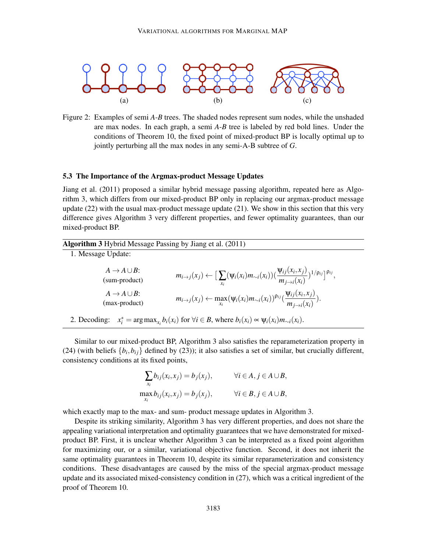

Figure 2: Examples of semi *A*-*B* trees. The shaded nodes represent sum nodes, while the unshaded are max nodes. In each graph, a semi *A*-*B* tree is labeled by red bold lines. Under the conditions of Theorem 10, the fixed point of mixed-product BP is locally optimal up to jointly perturbing all the max nodes in any semi-A-B subtree of *G*.

## 5.3 The Importance of the Argmax-product Message Updates

Jiang et al. (2011) proposed a similar hybrid message passing algorithm, repeated here as Algorithm 3, which differs from our mixed-product BP only in replacing our argmax-product message update (22) with the usual max-product message update (21). We show in this section that this very difference gives Algorithm 3 very different properties, and fewer optimality guarantees, than our mixed-product BP.

| Algorithm 3 Hybrid Message Passing by Jiang et al. (2011) |  |  |  |
|-----------------------------------------------------------|--|--|--|
|                                                           |  |  |  |

1. Message Update:

| $A \rightarrow A \cup B$ :<br>(sum-product) | $m_{i\rightarrow j}(x_j) \leftarrow \big[\sum_{x_i} (\psi_i(x_i)m_{\sim i}(x_i))(\frac{\psi_{ij}(x_i,x_j)}{m_{j\rightarrow i}(x_i)})^{1/\rho_{ij}}\big]^{\rho_{ij}},$ |
|---------------------------------------------|-----------------------------------------------------------------------------------------------------------------------------------------------------------------------|
| $A \rightarrow A \cup B$ :<br>(max-product) | $m_{i\rightarrow j}(x_j) \leftarrow \max_{x_i} (\psi_i(x_i)m_{\sim i}(x_i))^{\rho_{ij}}(\frac{\psi_{ij}(x_i,x_j)}{m_{j\rightarrow i}(x_i)}).$                         |

2. Decoding:  $x_i^* = \arg \max_{x_i} b_i(x_i)$  for  $\forall i \in B$ , where  $b_i(x_i) \propto \psi_i(x_i) m_{\sim i}(x_i)$ .

Similar to our mixed-product BP, Algorithm 3 also satisfies the reparameterization property in (24) (with beliefs  $\{b_i, b_{ij}\}$  defined by (23)); it also satisfies a set of similar, but crucially different, consistency conditions at its fixed points,

$$
\sum_{x_i} b_{ij}(x_i, x_j) = b_j(x_j), \qquad \forall i \in A, j \in A \cup B,
$$
  
\n
$$
\max_{x_i} b_{ij}(x_i, x_j) = b_j(x_j), \qquad \forall i \in B, j \in A \cup B,
$$

which exactly map to the max- and sum- product message updates in Algorithm 3.

Despite its striking similarity, Algorithm 3 has very different properties, and does not share the appealing variational interpretation and optimality guarantees that we have demonstrated for mixedproduct BP. First, it is unclear whether Algorithm 3 can be interpreted as a fixed point algorithm for maximizing our, or a similar, variational objective function. Second, it does not inherit the same optimality guarantees in Theorem 10, despite its similar reparameterization and consistency conditions. These disadvantages are caused by the miss of the special argmax-product message update and its associated mixed-consistency condition in (27), which was a critical ingredient of the proof of Theorem 10.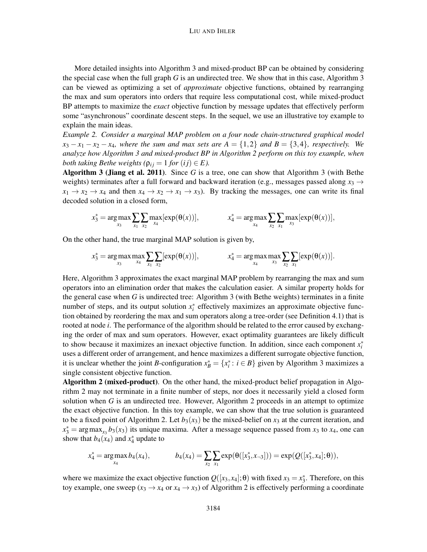More detailed insights into Algorithm 3 and mixed-product BP can be obtained by considering the special case when the full graph *G* is an undirected tree. We show that in this case, Algorithm 3 can be viewed as optimizing a set of *approximate* objective functions, obtained by rearranging the max and sum operators into orders that require less computational cost, while mixed-product BP attempts to maximize the *exact* objective function by message updates that effectively perform some "asynchronous" coordinate descent steps. In the sequel, we use an illustrative toy example to explain the main ideas.

*Example 2. Consider a marginal MAP problem on a four node chain-structured graphical model*  $x_3 - x_1 - x_2 - x_4$ , where the sum and max sets are  $A = \{1,2\}$  and  $B = \{3,4\}$ , respectively. We *analyze how Algorithm 3 and mixed-product BP in Algorithm 2 perform on this toy example, when both taking Bethe weights* ( $\rho_{ij} = 1$  *for* (*ij*)  $\in E$ ).

Algorithm 3 (Jiang et al. 2011). Since *G* is a tree, one can show that Algorithm 3 (with Bethe weights) terminates after a full forward and backward iteration (e.g., messages passed along *x*<sup>3</sup> →  $x_1 \rightarrow x_2 \rightarrow x_4$  and then  $x_4 \rightarrow x_2 \rightarrow x_1 \rightarrow x_3$ . By tracking the messages, one can write its final decoded solution in a closed form,

$$
x_3^* = \arg \max_{x_3} \sum_{x_1} \sum_{x_2} \max_{x_4} [\exp(\theta(x))], \qquad x_4^* = \arg \max_{x_4} \sum_{x_2} \sum_{x_1} \max_{x_3} [\exp(\theta(x))],
$$

On the other hand, the true marginal MAP solution is given by,

$$
x_3^* = \argmax_{x_3} \max_{x_4} \sum_{x_1} \sum_{x_2} [\exp(\theta(x))], \qquad x_4^* = \argmax_{x_4} \max_{x_3} \sum_{x_2} \sum_{x_1} [\exp(\theta(x))].
$$

Here, Algorithm 3 approximates the exact marginal MAP problem by rearranging the max and sum operators into an elimination order that makes the calculation easier. A similar property holds for the general case when *G* is undirected tree: Algorithm 3 (with Bethe weights) terminates in a finite number of steps, and its output solution  $x_i^*$  effectively maximizes an approximate objective function obtained by reordering the max and sum operators along a tree-order (see Definition 4.1) that is rooted at node *i*. The performance of the algorithm should be related to the error caused by exchanging the order of max and sum operators. However, exact optimality guarantees are likely difficult to show because it maximizes an inexact objective function. In addition, since each component  $x_i^*$ uses a different order of arrangement, and hence maximizes a different surrogate objective function, it is unclear whether the joint *B*-configuration  $x_B^* = \{x_i^* : i \in B\}$  given by Algorithm 3 maximizes a single consistent objective function.

Algorithm 2 (mixed-product). On the other hand, the mixed-product belief propagation in Algorithm 2 may not terminate in a finite number of steps, nor does it necessarily yield a closed form solution when *G* is an undirected tree. However, Algorithm 2 proceeds in an attempt to optimize the exact objective function. In this toy example, we can show that the true solution is guaranteed to be a fixed point of Algorithm 2. Let  $b_3(x_3)$  be the mixed-belief on  $x_3$  at the current iteration, and  $x_3^* = \arg \max_{x_3} b_3(x_3)$  its unique maxima. After a message sequence passed from  $x_3$  to  $x_4$ , one can show that  $b_4(x_4)$  and  $x_4^*$  update to

$$
x_4^* = \arg \max_{x_4} b_4(x_4), \qquad b_4(x_4) = \sum_{x_2} \sum_{x_1} \exp(\theta([x_3^*, x_{-3}])) = \exp(Q([x_3^*, x_4]; \theta)),
$$

where we maximize the exact objective function  $Q([x_3, x_4]; \theta)$  with fixed  $x_3 = x_3^*$ . Therefore, on this toy example, one sweep ( $x_3 \rightarrow x_4$  or  $x_4 \rightarrow x_3$ ) of Algorithm 2 is effectively performing a coordinate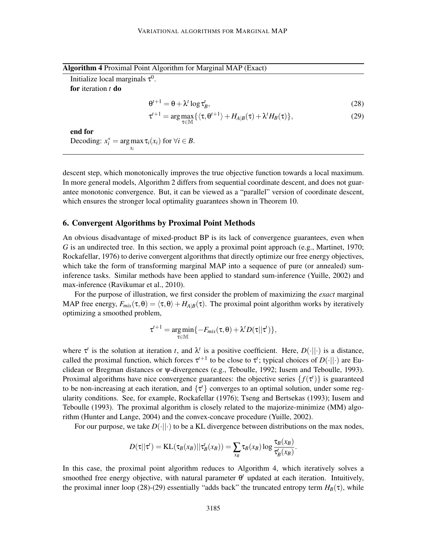|  | Algorithm 4 Proximal Point Algorithm for Marginal MAP (Exact) |  |
|--|---------------------------------------------------------------|--|
|  |                                                               |  |

| Initialize local marginals $\tau^0$ . |                           |
|---------------------------------------|---------------------------|
| <b>for</b> iteration t <b>do</b>      |                           |
|                                       | $\Theta^{t+1} = \Theta +$ |

$$
\theta^{t+1} = \theta + \lambda^t \log \tau_B^t,\tag{28}
$$

$$
\tau^{t+1} = \arg \max_{\tau \in \mathbb{M}} \{ \langle \tau, \theta^{t+1} \rangle + H_{A|B}(\tau) + \lambda^t H_B(\tau) \},\tag{29}
$$

end for Decoding:  $x_i^* = \arg \max \tau_i(x_i)$  for  $\forall i \in B$ . *xi*

descent step, which monotonically improves the true objective function towards a local maximum. In more general models, Algorithm 2 differs from sequential coordinate descent, and does not guarantee monotonic convergence. But, it can be viewed as a "parallel" version of coordinate descent, which ensures the stronger local optimality guarantees shown in Theorem 10.

### 6. Convergent Algorithms by Proximal Point Methods

An obvious disadvantage of mixed-product BP is its lack of convergence guarantees, even when *G* is an undirected tree. In this section, we apply a proximal point approach (e.g., Martinet, 1970; Rockafellar, 1976) to derive convergent algorithms that directly optimize our free energy objectives, which take the form of transforming marginal MAP into a sequence of pure (or annealed) suminference tasks. Similar methods have been applied to standard sum-inference (Yuille, 2002) and max-inference (Ravikumar et al., 2010).

For the purpose of illustration, we first consider the problem of maximizing the *exact* marginal MAP free energy,  $F_{mix}(\tau,\theta) = \langle \tau,\theta \rangle + H_{A|B}(\tau)$ . The proximal point algorithm works by iteratively optimizing a smoothed problem,

$$
\tau^{t+1} = \underset{\tau \in \mathbb{M}}{\arg \min} \{-F_{mix}(\tau, \theta) + \lambda^t D(\tau || \tau^t)\},
$$

where  $\tau^t$  is the solution at iteration *t*, and  $\lambda^t$  is a positive coefficient. Here,  $D(\cdot||\cdot)$  is a distance, called the proximal function, which forces  $\tau^{t+1}$  to be close to  $\tau^t$ ; typical choices of  $D(\cdot||\cdot)$  are Euclidean or Bregman distances or ψ-divergences (e.g., Teboulle, 1992; Iusem and Teboulle, 1993). Proximal algorithms have nice convergence guarantees: the objective series  $\{f(\tau)\}\$ is guaranteed to be non-increasing at each iteration, and  $\{\tau^t\}$  converges to an optimal solution, under some regularity conditions. See, for example, Rockafellar (1976); Tseng and Bertsekas (1993); Iusem and Teboulle (1993). The proximal algorithm is closely related to the majorize-minimize (MM) algorithm (Hunter and Lange, 2004) and the convex-concave procedure (Yuille, 2002).

For our purpose, we take  $D(\cdot||\cdot)$  to be a KL divergence between distributions on the max nodes,

$$
D(\tau||\tau') = \text{KL}(\tau_B(\mathbf{x}_B)||\tau_B'(\mathbf{x}_B)) = \sum_{\mathbf{x}_B} \tau_B(\mathbf{x}_B) \log \frac{\tau_B(\mathbf{x}_B)}{\tau_B'(\mathbf{x}_B)}.
$$

In this case, the proximal point algorithm reduces to Algorithm 4, which iteratively solves a smoothed free energy objective, with natural parameter  $\theta^t$  updated at each iteration. Intuitively, the proximal inner loop (28)-(29) essentially "adds back" the truncated entropy term  $H_B(\tau)$ , while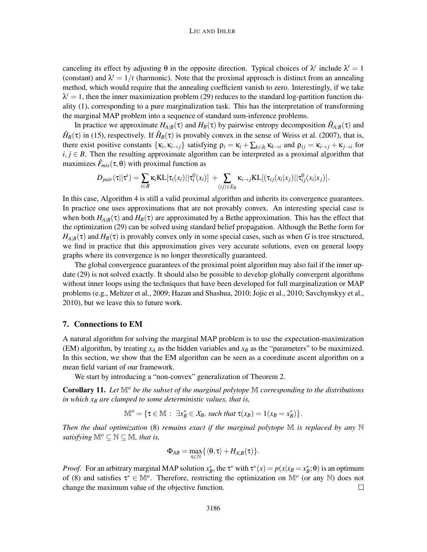#### LIU AND IHLER

canceling its effect by adjusting  $\theta$  in the opposite direction. Typical choices of  $\lambda^t$  include  $\lambda^t = 1$ (constant) and  $\lambda^t = 1/t$  (harmonic). Note that the proximal approach is distinct from an annealing method, which would require that the annealing coefficient vanish to zero. Interestingly, if we take  $\lambda^t = 1$ , then the inner maximization problem (29) reduces to the standard log-partition function duality (1), corresponding to a pure marginalization task. This has the interpretation of transforming the marginal MAP problem into a sequence of standard sum-inference problems.

In practice we approximate  $H_{A|B}(\tau)$  and  $H_B(\tau)$  by pairwise entropy decomposition  $\hat{H}_{A|B}(\tau)$  and  $\hat{H}_B(\tau)$  in (15), respectively. If  $\hat{H}_B(\tau)$  is provably convex in the sense of Weiss et al. (2007), that is, there exist positive constants  $\{\kappa_i, \kappa_{i\to j}\}$  satisfying  $\rho_i = \kappa_i + \sum_{k \in \partial_i} \kappa_{k\to i}$  and  $\rho_{ij} = \kappa_{i\to j} + \kappa_{j\to i}$  for  $i, j \in B$ . Then the resulting approximate algorithm can be interpreted as a proximal algorithm that maximizes  $\hat{F}_{mix}(\tau, \theta)$  with proximal function as

$$
D_{pair}(\tau||\tau') = \sum_{i \in B} \kappa_i KL[\tau_i(x_i)||\tau_i^0(x_i)] + \sum_{(ij) \in E_B} \kappa_{i \to j} KL[(\tau_{ij}(x_i|x_j)||\tau_{ij}^0(x_i|x_j)].
$$

In this case, Algorithm 4 is still a valid proximal algorithm and inherits its convergence guarantees. In practice one uses approximations that are not provably convex. An interesting special case is when both  $H_{A|B}(\tau)$  and  $H_B(\tau)$  are approximated by a Bethe approximation. This has the effect that the optimization (29) can be solved using standard belief propagation. Although the Bethe form for  $H_{A|B}(\tau)$  and  $H_B(\tau)$  is provably convex only in some special cases, such as when *G* is tree structured, we find in practice that this approximation gives very accurate solutions, even on general loopy graphs where its convergence is no longer theoretically guaranteed.

The global convergence guarantees of the proximal point algorithm may also fail if the inner update (29) is not solved exactly. It should also be possible to develop globally convergent algorithms without inner loops using the techniques that have been developed for full marginalization or MAP problems (e.g., Meltzer et al., 2009; Hazan and Shashua, 2010; Jojic et al., 2010; Savchynskyy et al., 2010), but we leave this to future work.

#### 7. Connections to EM

A natural algorithm for solving the marginal MAP problem is to use the expectation-maximization (EM) algorithm, by treating  $x_A$  as the hidden variables and  $x_B$  as the "parameters" to be maximized. In this section, we show that the EM algorithm can be seen as a coordinate ascent algorithm on a mean field variant of our framework.

We start by introducing a "non-convex" generalization of Theorem 2.

Corollary 11. *Let* M*<sup>o</sup> be the subset of the marginal polytope* M *corresponding to the distributions in which x<sup>B</sup> are clamped to some deterministic values, that is,*

 $\mathbb{M}^o = \{ \tau \in \mathbb{M} : \exists x_B^* \in \mathcal{X}_B \text{, such that } \tau(x_B) = 1(x_B = x_B^*) \}.$ 

*Then the dual optimization* (8) *remains exact if the marginal polytope* M *is replaced by any* N *satisfying*  $\mathbb{M}^o \subseteq \mathbb{N} \subseteq \mathbb{M}$ , that is,

$$
\Phi_{AB} = \max_{\tau \in \mathbb{N}} \{ \langle \theta, \tau \rangle + H_{A|B}(\tau) \}.
$$

*Proof.* For an arbitrary marginal MAP solution  $x_B^*$ , the  $\tau^*$  with  $\tau^*(x) = p(x|x_B = x_B^*; \theta)$  is an optimum of (8) and satisfies  $\tau^* \in M^o$ . Therefore, restricting the optimization on  $M^o$  (or any N) does not change the maximum value of the objective function.  $\Box$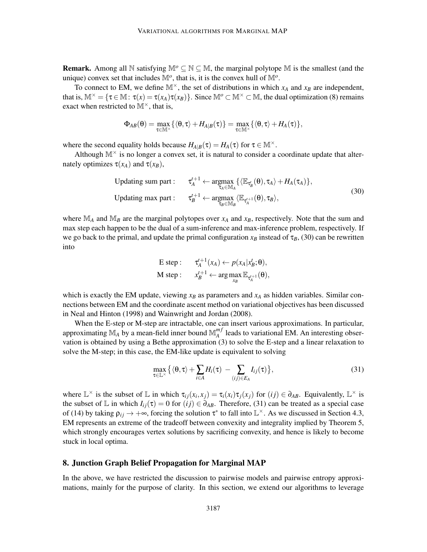**Remark.** Among all  $\mathbb N$  satisfying  $\mathbb M^o \subseteq \mathbb N \subseteq \mathbb M$ , the marginal polytope  $\mathbb M$  is the smallest (and the unique) convex set that includes  $\mathbb{M}^{\circ}$ , that is, it is the convex hull of  $\mathbb{M}^{\circ}$ .

To connect to EM, we define  $\mathbb{M}^{\times}$ , the set of distributions in which  $x_A$  and  $x_B$  are independent, that is,  $\mathbb{M}^{\times} = \{ \tau \in \mathbb{M} : \tau(x) = \tau(x_A) \tau(x_B) \}$ . Since  $\mathbb{M}^o \subset \mathbb{M}^{\times} \subset \mathbb{M}$ , the dual optimization (8) remains exact when restricted to  $M^{\times}$ , that is,

$$
\Phi_{AB}(\theta)=\max_{\tau\in\mathbb{M}^{\times}}\{\langle\theta,\tau\rangle+H_{A|B}(\tau)\}=\max_{\tau\in\mathbb{M}^{\times}}\{\langle\theta,\tau\rangle+H_{A}(\tau)\},
$$

where the second equality holds because  $H_{A|B}(\tau) = H_A(\tau)$  for  $\tau \in \mathbb{M}^\times$ .

Although  $M^{\times}$  is no longer a convex set, it is natural to consider a coordinate update that alternately optimizes  $\tau(x_A)$  and  $\tau(x_B)$ ,

$$
\text{Updateing sum part:} \quad \tau_A^{t+1} \leftarrow \underset{\tau_A \in \mathbb{M}_A}{\text{argmax}} \left\{ \langle \mathbb{E}_{\tau_B^t}(\theta), \tau_A \rangle + H_A(\tau_A) \right\},
$$
\n
$$
\text{Updateing max part:} \quad \tau_B^{t+1} \leftarrow \underset{\tau_B \in \mathbb{M}_B}{\text{argmax}} \langle \mathbb{E}_{\tau_A^{t+1}}(\theta), \tau_B \rangle,
$$
\n
$$
(30)
$$

where  $\mathbb{M}_{A}$  and  $\mathbb{M}_{B}$  are the marginal polytopes over  $x_A$  and  $x_B$ , respectively. Note that the sum and max step each happen to be the dual of a sum-inference and max-inference problem, respectively. If we go back to the primal, and update the primal configuration  $x_B$  instead of  $\tau_B$ , (30) can be rewritten into

E step: 
$$
\tau_A^{t+1}(x_A) \leftarrow p(x_A | x_B^t; \theta),
$$
  
M step:  $x_B^{t+1} \leftarrow \arg \max_{x_B} \mathbb{E}_{\tau_A^{t+1}}(\theta),$ 

which is exactly the EM update, viewing  $x_B$  as parameters and  $x_A$  as hidden variables. Similar connections between EM and the coordinate ascent method on variational objectives has been discussed in Neal and Hinton (1998) and Wainwright and Jordan (2008).

When the E-step or M-step are intractable, one can insert various approximations. In particular, approximating  $\mathbb{M}_A$  by a mean-field inner bound  $\mathbb{M}_A^{m}$  $_{A}^{m}$  leads to variational EM. An interesting observation is obtained by using a Bethe approximation (3) to solve the E-step and a linear relaxation to solve the M-step; in this case, the EM-like update is equivalent to solving

$$
\max_{\tau \in \mathbb{L}^{\times}} \left\{ \langle \theta, \tau \rangle + \sum_{i \in A} H_i(\tau) - \sum_{(ij) \in E_A} I_{ij}(\tau) \right\},\tag{31}
$$

where  $\mathbb{L}^{\times}$  is the subset of  $\mathbb{L}$  in which  $\tau_{ij}(x_i, x_j) = \tau_i(x_i)\tau_j(x_j)$  for  $(ij) \in \partial_{AB}$ . Equivalently,  $\mathbb{L}^{\times}$  is the subset of L in which  $I_{ij}(\tau) = 0$  for  $(ij) \in \partial_{AB}$ . Therefore, (31) can be treated as a special case of (14) by taking  $\rho_{ij} \to +\infty$ , forcing the solution  $\tau^*$  to fall into  $\mathbb{L}^\times$ . As we discussed in Section 4.3, EM represents an extreme of the tradeoff between convexity and integrality implied by Theorem 5, which strongly encourages vertex solutions by sacrificing convexity, and hence is likely to become stuck in local optima.

# 8. Junction Graph Belief Propagation for Marginal MAP

In the above, we have restricted the discussion to pairwise models and pairwise entropy approximations, mainly for the purpose of clarity. In this section, we extend our algorithms to leverage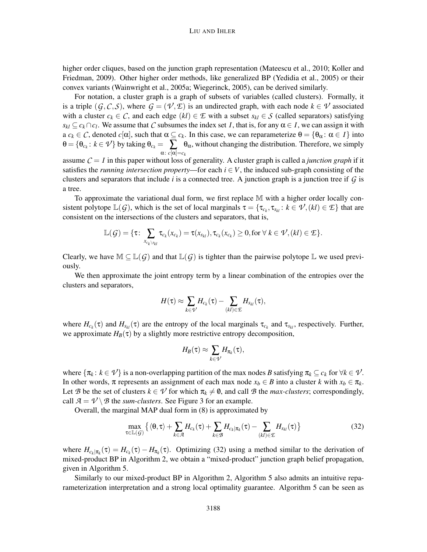#### LIU AND IHLER

higher order cliques, based on the junction graph representation (Mateescu et al., 2010; Koller and Friedman, 2009). Other higher order methods, like generalized BP (Yedidia et al., 2005) or their convex variants (Wainwright et al., 2005a; Wiegerinck, 2005), can be derived similarly.

For notation, a cluster graph is a graph of subsets of variables (called clusters). Formally, it is a triple  $(G, C, S)$ , where  $G = (\mathcal{V}, \mathcal{E})$  is an undirected graph, with each node  $k \in \mathcal{V}$  associated with a cluster  $c_k \in \mathcal{C}$ , and each edge  $(kl) \in \mathcal{L}$  with a subset  $s_{kl} \in \mathcal{S}$  (called separators) satisfying  $s_{kl} \subseteq c_k \cap c_l$ . We assume that *C* subsumes the index set *I*, that is, for any  $\alpha \in I$ , we can assign it with a  $c_k \in \mathcal{C}$ , denoted  $c[\alpha]$ , such that  $\alpha \subseteq c_k$ . In this case, we can reparameterize  $\theta = {\theta_\alpha : \alpha \in I}$  into  $\theta = \{\theta_{c_k}: k \in \mathcal{V}\}\$ by taking  $\theta_{c_k} = \sum \theta_{\alpha}$ , without changing the distribution. Therefore, we simply α: *c*[α]=*c<sup>k</sup>* assume  $C = I$  in this paper without loss of generality. A cluster graph is called a *junction graph* if it

satisfies the *running intersection property*—for each  $i \in V$ , the induced sub-graph consisting of the clusters and separators that include  $i$  is a connected tree. A junction graph is a junction tree if  $G$  is a tree.

To approximate the variational dual form, we first replace M with a higher order locally consistent polytope  $\mathbb{L}(G)$ , which is the set of local marginals  $\tau = {\tau_{c_k}, \tau_{s_{kl}} : k \in \mathcal{V}, (kl) \in \mathcal{I}}$  that are consistent on the intersections of the clusters and separators, that is,

$$
\mathbb{L}(\mathcal{G}) = \{ \tau \colon \sum_{x_{c_k \setminus s_{kl}}} \tau_{c_k}(x_{c_k}) = \tau(x_{s_{kl}}), \tau_{c_k}(x_{c_k}) \geq 0, \text{for } \forall \ k \in \mathcal{V}, (kl) \in \mathcal{E} \}.
$$

Clearly, we have  $M \subseteq \mathbb{L}(G)$  and that  $\mathbb{L}(G)$  is tighter than the pairwise polytope  $\mathbb{L}$  we used previously.

We then approximate the joint entropy term by a linear combination of the entropies over the clusters and separators,

$$
H(\tau) \approx \sum_{k\in\mathcal{V}} H_{c_k}(\tau) - \sum_{(kl)\in\mathcal{L}} H_{s_{kl}}(\tau),
$$

where  $H_{c_k}(\tau)$  and  $H_{s_{kl}}(\tau)$  are the entropy of the local marginals  $\tau_{c_k}$  and  $\tau_{s_{kl}}$ , respectively. Further, we approximate  $H_B(\tau)$  by a slightly more restrictive entropy decomposition,

$$
H_B(\tau) \approx \sum_{k \in \mathcal{V}} H_{\pi_k}(\tau),
$$

where  $\{\pi_k : k \in \mathcal{V}\}\$ is a non-overlapping partition of the max nodes *B* satisfying  $\pi_k \subseteq c_k$  for  $\forall k \in \mathcal{V}\$ . In other words, π represents an assignment of each max node  $x_b \in B$  into a cluster *k* with  $x_b \in \pi_k$ . Let *B* be the set of clusters  $k \in \mathcal{V}$  for which  $\pi_k \neq 0$ , and call *B* the *max-clusters*; correspondingly, call  $A = V \setminus B$  the *sum-clusters*. See Figure 3 for an example.

Overall, the marginal MAP dual form in (8) is approximated by

$$
\max_{\tau \in \mathbb{L}(\mathcal{G})} \left\{ \langle \theta, \tau \rangle + \sum_{k \in \mathcal{A}} H_{c_k}(\tau) + \sum_{k \in \mathcal{B}} H_{c_k | \pi_k}(\tau) - \sum_{(kl) \in \mathcal{E}} H_{s_{kl}}(\tau) \right\} \tag{32}
$$

where  $H_{c_k|\pi_k}(\tau) = H_{c_k}(\tau) - H_{\pi_k}(\tau)$ . Optimizing (32) using a method similar to the derivation of mixed-product BP in Algorithm 2, we obtain a "mixed-product" junction graph belief propagation, given in Algorithm 5.

Similarly to our mixed-product BP in Algorithm 2, Algorithm 5 also admits an intuitive reparameterization interpretation and a strong local optimality guarantee. Algorithm 5 can be seen as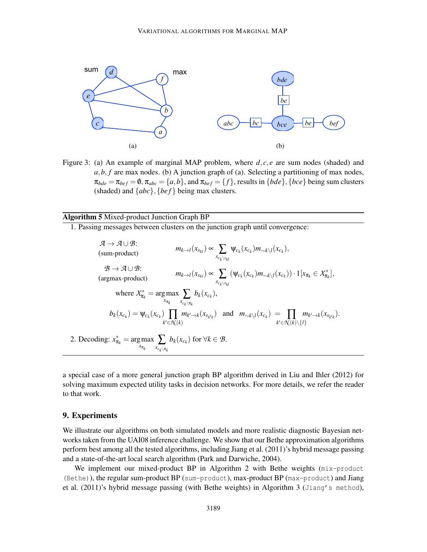

Figure 3: (a) An example of marginal MAP problem, where *d*, *c*, *e* are sum nodes (shaded) and  $a, b, f$  are max nodes. (b) A junction graph of (a). Selecting a partitioning of max nodes,  $\pi_{bde} = \pi_{bef} = \emptyset$ ,  $\pi_{abc} = \{a,b\}$ , and  $\pi_{bef} = \{f\}$ , results in  $\{bde\}$ ,  $\{bce\}$  being sum clusters (shaded) and  $\{abc\}$ ,  $\{bef\}$  being max clusters.

Algorithm 5 Mixed-product Junction Graph BP

1. Passing messages between clusters on the junction graph until convergence:

 $A \rightarrow A \cup B$ :  $m_{k\rightarrow l}(x_{s_{kl}}) \propto \sum_{x_{c_k}\setminus s_{kl}}$ <br>(sum-product)  $\Psi_{c_k}(x_{c_k})m_{\sim k\setminus l}(x_{c_k}),$  $B \to A \cup B$ :
(argmax-product) *m*<sub>*k*→*l*</sub>(*x*<sub>*s<sub>k</sub>l</sub>*) ∝  $\sum_{x_{c_k \setminus s_j}}$ </sub>  $\sqrt{k}$  $(\psi_{c_k}(x_{c_k})m_{\sim k\setminus l}(x_{c_k})) \cdot 1[x_{\pi_k} \in \mathcal{X}_{\pi_k}^*],$ where  $X_{\pi_k}^* = \arg \max$  $\displaystyle \max_{x_{\pi_k}}\sum_{x_{c_k\setminus\pi_k}}$  $b_k(x_{c_k}),$  $b_k(x_{c_k}) = \psi_{c_k}(x_{c_k})$  ∏ *k* ′∈*N* (*k*)  $m_{k' \to k}(x_{s_{k'k}})$  and  $m_{\sim k\setminus l}(x_{c_k}) = \prod$ *k* ′∈*N* (*k*)\{*l*}  $m_{k'\rightarrow k}(x_{s_{k'k}})$ . 2. Decoding:  $x_{\pi_k}^* = \arg \max$  $\displaystyle\max_{x_{\pi_k}}\sum_{x_{c_k\setminus\pi_k}}$ *b*<sup>*k*</sup>( $x_{c_k}$ ) for ∀*k* ∈ *B*.

a special case of a more general junction graph BP algorithm derived in Liu and Ihler (2012) for solving maximum expected utility tasks in decision networks. For more details, we refer the reader to that work.

# 9. Experiments

We illustrate our algorithms on both simulated models and more realistic diagnostic Bayesian networks taken from the UAI08 inference challenge. We show that our Bethe approximation algorithms perform best among all the tested algorithms, including Jiang et al. (2011)'s hybrid message passing and a state-of-the-art local search algorithm (Park and Darwiche, 2004).

We implement our mixed-product BP in Algorithm 2 with Bethe weights ( $mix$ -product (Bethe)), the regular sum-product BP (sum-product), max-product BP (max-product) and Jiang et al. (2011)'s hybrid message passing (with Bethe weights) in Algorithm 3 (Jiang's method),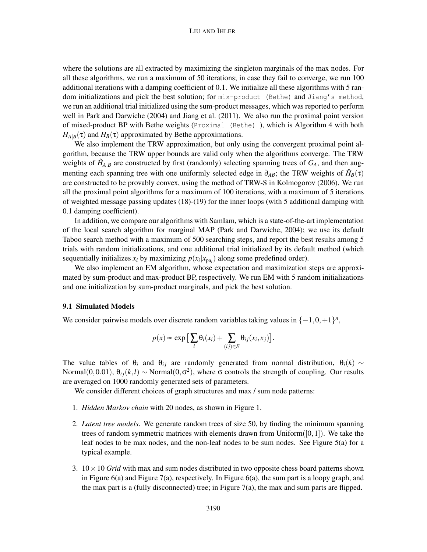#### LIU AND IHLER

where the solutions are all extracted by maximizing the singleton marginals of the max nodes. For all these algorithms, we run a maximum of 50 iterations; in case they fail to converge, we run 100 additional iterations with a damping coefficient of 0.1. We initialize all these algorithms with 5 random initializations and pick the best solution; for mix-product (Bethe) and Jiang's method, we run an additional trial initialized using the sum-product messages, which was reported to perform well in Park and Darwiche (2004) and Jiang et al. (2011). We also run the proximal point version of mixed-product BP with Bethe weights (Proximal (Bethe) ), which is Algorithm 4 with both  $H_{A|B}(\tau)$  and  $H_B(\tau)$  approximated by Bethe approximations.

We also implement the TRW approximation, but only using the convergent proximal point algorithm, because the TRW upper bounds are valid only when the algorithms converge. The TRW weights of  $\hat{H}_{A|B}$  are constructed by first (randomly) selecting spanning trees of  $G_A$ , and then augmenting each spanning tree with one uniformly selected edge in  $\partial_{AB}$ ; the TRW weights of  $\hat{H}_B(\tau)$ are constructed to be provably convex, using the method of TRW-S in Kolmogorov (2006). We run all the proximal point algorithms for a maximum of 100 iterations, with a maximum of 5 iterations of weighted message passing updates (18)-(19) for the inner loops (with 5 additional damping with 0.1 damping coefficient).

In addition, we compare our algorithms with SamIam, which is a state-of-the-art implementation of the local search algorithm for marginal MAP (Park and Darwiche, 2004); we use its default Taboo search method with a maximum of 500 searching steps, and report the best results among 5 trials with random initializations, and one additional trial initialized by its default method (which sequentially initializes  $x_i$  by maximizing  $p(x_i|x_{pa_i})$  along some predefined order).

We also implement an EM algorithm, whose expectation and maximization steps are approximated by sum-product and max-product BP, respectively. We run EM with 5 random initializations and one initialization by sum-product marginals, and pick the best solution.

### 9.1 Simulated Models

We consider pairwise models over discrete random variables taking values in  $\{-1,0,+1\}^n$ ,

$$
p(x) \propto \exp\left[\sum_i \theta_i(x_i) + \sum_{(ij)\in E} \theta_{ij}(x_i, x_j)\right].
$$

The value tables of  $\theta_i$  and  $\theta_{ij}$  are randomly generated from normal distribution,  $\theta_i(k) \sim$ Normal $(0,0.01)$ ,  $\theta_{ij}(k,l) \sim \text{Normal}(0,\sigma^2)$ , where  $\sigma$  controls the strength of coupling. Our results are averaged on 1000 randomly generated sets of parameters.

We consider different choices of graph structures and max / sum node patterns:

- 1. *Hidden Markov chain* with 20 nodes, as shown in Figure 1.
- 2. *Latent tree models*. We generate random trees of size 50, by finding the minimum spanning trees of random symmetric matrices with elements drawn from  $Uniform([0,1])$ . We take the leaf nodes to be max nodes, and the non-leaf nodes to be sum nodes. See Figure 5(a) for a typical example.
- 3.  $10 \times 10$  *Grid* with max and sum nodes distributed in two opposite chess board patterns shown in Figure  $6(a)$  and Figure 7(a), respectively. In Figure  $6(a)$ , the sum part is a loopy graph, and the max part is a (fully disconnected) tree; in Figure 7(a), the max and sum parts are flipped.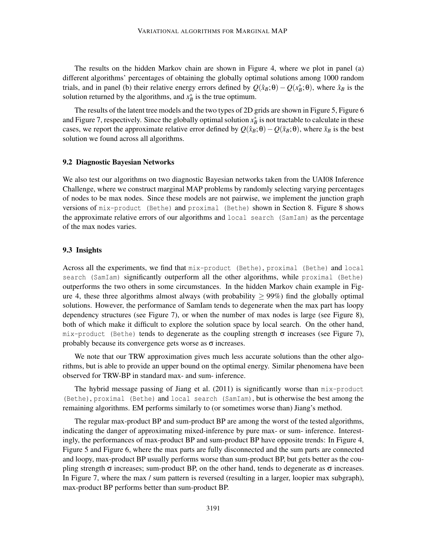The results on the hidden Markov chain are shown in Figure 4, where we plot in panel (a) different algorithms' percentages of obtaining the globally optimal solutions among 1000 random trials, and in panel (b) their relative energy errors defined by  $Q(\hat{x}_B; \theta) - Q(x_B^*, \theta)$ , where  $\hat{x}_B$  is the solution returned by the algorithms, and  $x_B^*$  is the true optimum.

The results of the latent tree models and the two types of 2D grids are shown in Figure 5, Figure 6 and Figure 7, respectively. Since the globally optimal solution  $x_B^*$  is not tractable to calculate in these cases, we report the approximate relative error defined by  $Q(\hat{x}_B;\theta) - Q(\tilde{x}_B;\theta)$ , where  $\tilde{x}_B$  is the best solution we found across all algorithms.

### 9.2 Diagnostic Bayesian Networks

We also test our algorithms on two diagnostic Bayesian networks taken from the UAI08 Inference Challenge, where we construct marginal MAP problems by randomly selecting varying percentages of nodes to be max nodes. Since these models are not pairwise, we implement the junction graph versions of mix-product (Bethe) and proximal (Bethe) shown in Section 8. Figure 8 shows the approximate relative errors of our algorithms and local search (SamIam) as the percentage of the max nodes varies.

#### 9.3 Insights

Across all the experiments, we find that mix-product (Bethe), proximal (Bethe) and local search (SamIam) significantly outperform all the other algorithms, while proximal (Bethe) outperforms the two others in some circumstances. In the hidden Markov chain example in Figure 4, these three algorithms almost always (with probability  $> 99\%$ ) find the globally optimal solutions. However, the performance of SamIam tends to degenerate when the max part has loopy dependency structures (see Figure 7), or when the number of max nodes is large (see Figure 8), both of which make it difficult to explore the solution space by local search. On the other hand, mix-product (Bethe) tends to degenerate as the coupling strength  $\sigma$  increases (see Figure 7), probably because its convergence gets worse as  $\sigma$  increases.

We note that our TRW approximation gives much less accurate solutions than the other algorithms, but is able to provide an upper bound on the optimal energy. Similar phenomena have been observed for TRW-BP in standard max- and sum- inference.

The hybrid message passing of Jiang et al. (2011) is significantly worse than mix-product (Bethe), proximal (Bethe) and local search (SamIam), but is otherwise the best among the remaining algorithms. EM performs similarly to (or sometimes worse than) Jiang's method.

The regular max-product BP and sum-product BP are among the worst of the tested algorithms, indicating the danger of approximating mixed-inference by pure max- or sum- inference. Interestingly, the performances of max-product BP and sum-product BP have opposite trends: In Figure 4, Figure 5 and Figure 6, where the max parts are fully disconnected and the sum parts are connected and loopy, max-product BP usually performs worse than sum-product BP, but gets better as the coupling strength  $\sigma$  increases; sum-product BP, on the other hand, tends to degenerate as  $\sigma$  increases. In Figure 7, where the max / sum pattern is reversed (resulting in a larger, loopier max subgraph), max-product BP performs better than sum-product BP.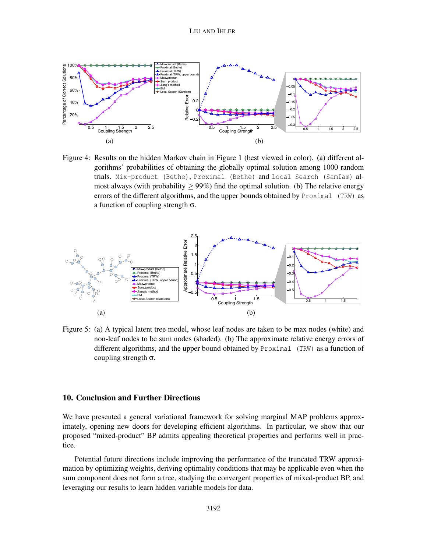

Figure 4: Results on the hidden Markov chain in Figure 1 (best viewed in color). (a) different algorithms' probabilities of obtaining the globally optimal solution among 1000 random trials. Mix-product (Bethe), Proximal (Bethe) and Local Search (SamIam) almost always (with probability  $\geq 99\%$ ) find the optimal solution. (b) The relative energy errors of the different algorithms, and the upper bounds obtained by Proximal (TRW) as a function of coupling strength σ.



Figure 5: (a) A typical latent tree model, whose leaf nodes are taken to be max nodes (white) and non-leaf nodes to be sum nodes (shaded). (b) The approximate relative energy errors of different algorithms, and the upper bound obtained by Proximal (TRW) as a function of coupling strength σ.

### 10. Conclusion and Further Directions

We have presented a general variational framework for solving marginal MAP problems approximately, opening new doors for developing efficient algorithms. In particular, we show that our proposed "mixed-product" BP admits appealing theoretical properties and performs well in practice.

Potential future directions include improving the performance of the truncated TRW approximation by optimizing weights, deriving optimality conditions that may be applicable even when the sum component does not form a tree, studying the convergent properties of mixed-product BP, and leveraging our results to learn hidden variable models for data.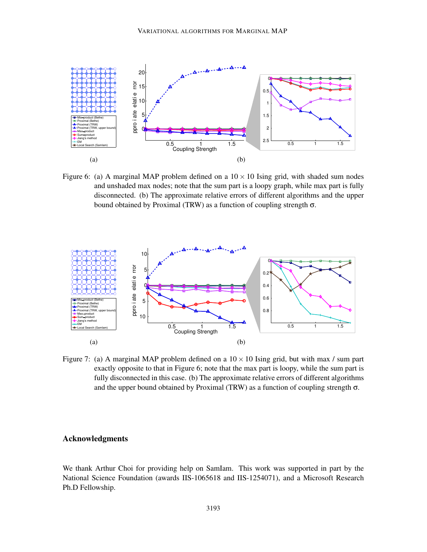

Figure 6: (a) A marginal MAP problem defined on a  $10 \times 10$  Ising grid, with shaded sum nodes and unshaded max nodes; note that the sum part is a loopy graph, while max part is fully disconnected. (b) The approximate relative errors of different algorithms and the upper bound obtained by Proximal (TRW) as a function of coupling strength σ.



Figure 7: (a) A marginal MAP problem defined on a  $10 \times 10$  Ising grid, but with max / sum part exactly opposite to that in Figure 6; note that the max part is loopy, while the sum part is fully disconnected in this case. (b) The approximate relative errors of different algorithms and the upper bound obtained by Proximal (TRW) as a function of coupling strength  $\sigma$ .

# Acknowledgments

We thank Arthur Choi for providing help on SamIam. This work was supported in part by the National Science Foundation (awards IIS-1065618 and IIS-1254071), and a Microsoft Research Ph.D Fellowship.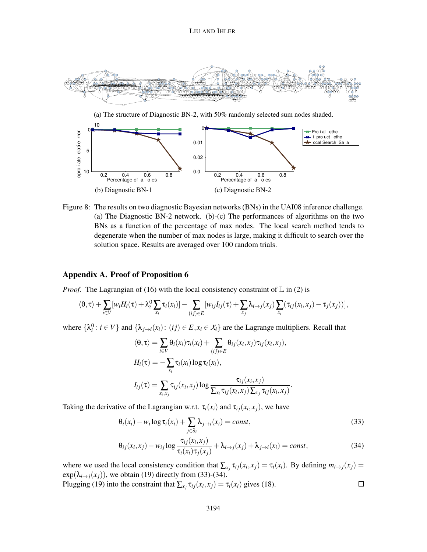

(a) The structure of Diagnostic BN-2, with 50% randomly selected sum nodes shaded.



Figure 8: The results on two diagnostic Bayesian networks (BNs) in the UAI08 inference challenge. (a) The Diagnostic BN-2 network. (b)-(c) The performances of algorithms on the two BNs as a function of the percentage of max nodes. The local search method tends to degenerate when the number of max nodes is large, making it difficult to search over the solution space. Results are averaged over 100 random trials.

# Appendix A. Proof of Proposition 6

*Proof.* The Lagrangian of (16) with the local consistency constraint of  $\mathbb{L}$  in (2) is

$$
\langle \theta, \tau \rangle + \sum_{i \in V} [w_i H_i(\tau) + \lambda_i^0 \sum_{x_i} \tau_i(x_i)] - \sum_{(ij) \in E} [w_{ij} I_{ij}(\tau) + \sum_{x_j} \lambda_{i \to j}(x_j) \sum_{x_i} (\tau_{ij}(x_i, x_j) - \tau_j(x_j))],
$$

where  $\{\lambda_i^0: i \in V\}$  and  $\{\lambda_{j\to i}(x_i): (ij) \in E, x_i \in \mathcal{X}_i\}$  are the Lagrange multipliers. Recall that

$$
\langle \theta, \tau \rangle = \sum_{i \in V} \theta_i(x_i) \tau_i(x_i) + \sum_{(ij) \in E} \theta_{ij}(x_i, x_j) \tau_{ij}(x_i, x_j),
$$
  
\n
$$
H_i(\tau) = -\sum_{x_i} \tau_i(x_i) \log \tau_i(x_i),
$$
  
\n
$$
I_{ij}(\tau) = \sum_{x_i, x_j} \tau_{ij}(x_i, x_j) \log \frac{\tau_{ij}(x_i, x_j)}{\sum_{x_i} \tau_{ij}(x_i, x_j) \sum_{x_j} \tau_{ij}(x_i, x_j)}.
$$

Taking the derivative of the Lagrangian w.r.t.  $\tau_i(x_i)$  and  $\tau_{ij}(x_i, x_j)$ , we have

$$
\Theta_i(x_i) - w_i \log \tau_i(x_i) + \sum_{j \in \partial_i} \lambda_{j \to i}(x_i) = const,
$$
\n(33)

$$
\theta_{ij}(x_i, x_j) - w_{ij} \log \frac{\tau_{ij}(x_i, x_j)}{\tau_i(x_i)\tau_j(x_j)} + \lambda_{i \to j}(x_j) + \lambda_{j \to i}(x_i) = const,
$$
\n(34)

where we used the local consistency condition that  $\sum_{x_j} \tau_{ij}(x_i, x_j) = \tau_i(x_i)$ . By defining  $m_{i \to j}(x_j) =$  $exp(\lambda_{i\rightarrow j}(x_i))$ , we obtain (19) directly from (33)-(34).  $\Box$ Plugging (19) into the constraint that  $\sum_{x_j} \tau_{ij}(x_i, x_j) = \tau_i(x_i)$  gives (18).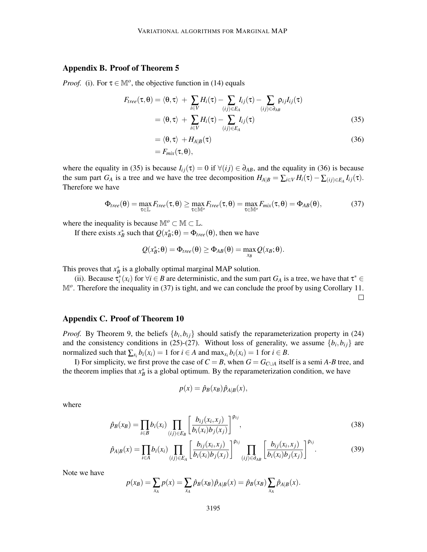# Appendix B. Proof of Theorem 5

*Proof.* (i). For  $\tau \in \mathbb{M}^o$ , the objective function in (14) equals

$$
F_{tree}(\tau, \theta) = \langle \theta, \tau \rangle + \sum_{i \in V} H_i(\tau) - \sum_{(ij) \in E_A} I_{ij}(\tau) - \sum_{(ij) \in \partial_{AB}} \rho_{ij} I_{ij}(\tau)
$$
  
=  $\langle \theta, \tau \rangle + \sum_{i \in V} H_i(\tau) - \sum_{(ij) \in E_A} I_{ij}(\tau)$  (35)

$$
= \langle \theta, \tau \rangle + H_{A|B}(\tau) = F_{mix}(\tau, \theta),
$$
\n(36)

where the equality in (35) is because  $I_{ij}(\tau) = 0$  if  $\forall (ij) \in \partial_{AB}$ , and the equality in (36) is because the sum part  $G_A$  is a tree and we have the tree decomposition  $H_{A|B} = \sum_{i \in V} H_i(\tau) - \sum_{(ij) \in E_A} I_{ij}(\tau)$ . Therefore we have

$$
\Phi_{tree}(\theta) = \max_{\tau \in \mathbb{L}} F_{tree}(\tau, \theta) \ge \max_{\tau \in \mathbb{M}^o} F_{tree}(\tau, \theta) = \max_{\tau \in \mathbb{M}^o} F_{mix}(\tau, \theta) = \Phi_{AB}(\theta), \tag{37}
$$

where the inequality is because  $\mathbb{M}^o \subset \mathbb{M} \subset \mathbb{L}$ .

If there exists  $x_B^*$  such that  $Q(x_B^*; \theta) = \Phi_{tree}(\theta)$ , then we have

$$
Q(x^*_{B};\theta) = \Phi_{tree}(\theta) \geq \Phi_{AB}(\theta) = \max_{x_B} Q(x_B;\theta).
$$

This proves that  $x^*_{B}$  is a globally optimal marginal MAP solution.

(ii). Because  $\tau_i^*(x_i)$  for  $\forall i \in B$  are deterministic, and the sum part  $G_A$  is a tree, we have that  $\tau^* \in$ M<sup>o</sup>. Therefore the inequality in (37) is tight, and we can conclude the proof by using Corollary 11.  $\Box$ 

# Appendix C. Proof of Theorem 10

*Proof.* By Theorem 9, the beliefs  $\{b_i, b_{ij}\}$  should satisfy the reparameterization property in (24) and the consistency conditions in (25)-(27). Without loss of generality, we assume  $\{b_i, b_{ij}\}$  are normalized such that  $\sum_{x_i} b_i(x_i) = 1$  for  $i \in A$  and  $\max_{x_i} b_i(x_i) = 1$  for  $i \in B$ .

I) For simplicity, we first prove the case of  $C = B$ , when  $G = G_{C \cup A}$  itself is a semi *A*-*B* tree, and the theorem implies that  $x_B^*$  is a global optimum. By the reparameterization condition, we have

$$
p(x) = \hat{p}_B(x_B)\hat{p}_{A|B}(x),
$$

where

$$
\hat{p}_B(x_B) = \prod_{i \in B} b_i(x_i) \prod_{(ij) \in E_B} \left[ \frac{b_{ij}(x_i, x_j)}{b_i(x_i)b_j(x_j)} \right]^{p_{ij}},
$$
\n(38)

$$
\hat{p}_{A|B}(x) = \prod_{i \in A} b_i(x_i) \prod_{(ij) \in E_A} \left[ \frac{b_{ij}(x_i, x_j)}{b_i(x_i)b_j(x_j)} \right]^{\rho_{ij}} \prod_{(ij) \in \partial_{AB}} \left[ \frac{b_{ij}(x_i, x_j)}{b_i(x_i)b_j(x_j)} \right]^{\rho_{ij}}.
$$
\n(39)

Note we have

$$
p(x_B) = \sum_{x_A} p(x) = \sum_{x_A} \hat{p}_B(x_B) \hat{p}_{A|B}(x) = \hat{p}_B(x_B) \sum_{x_A} \hat{p}_{A|B}(x).
$$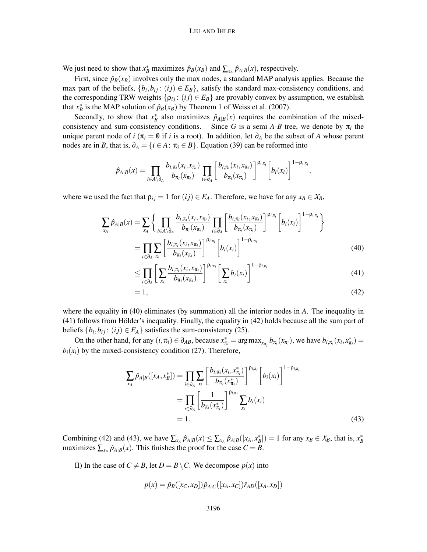We just need to show that  $x_B^*$  maximizes  $\hat{p}_B(x_B)$  and  $\sum_{x_A} \hat{p}_{A|B}(x)$ , respectively.

First, since  $\hat{p}_B(x_B)$  involves only the max nodes, a standard MAP analysis applies. Because the max part of the beliefs,  $\{b_i, b_{ij} : (ij) \in E_B\}$ , satisfy the standard max-consistency conditions, and the corresponding TRW weights  $\{\rho_{ij} : (ij) \in E_B\}$  are provably convex by assumption, we establish that  $x_B^*$  is the MAP solution of  $\hat{p}_B(x_B)$  by Theorem 1 of Weiss et al. (2007).

Secondly, to show that  $x^*_{B}$  also maximizes  $\hat{p}_{A|B}(x)$  requires the combination of the mixedconsistency and sum-consistency conditions. Since *G* is a semi *A-B* tree, we denote by  $\pi$ <sub>*i*</sub> the unique parent node of *i* ( $\pi$ <sub>*i*</sub> =  $\emptyset$  if *i* is a root). In addition, let  $\partial$ <sup>*A*</sup> be the subset of *A* whose parent nodes are in *B*, that is,  $\partial_A = \{i \in A : \pi_i \in B\}$ . Equation (39) can be reformed into

$$
\hat{p}_{A|B}(x) = \prod_{i \in A \setminus \partial_A} \frac{b_{i,\pi_i}(x_i, x_{\pi_i})}{b_{\pi_i}(x_{\pi_i})} \prod_{i \in \partial_A} \left[ \frac{b_{i,\pi_i}(x_i, x_{\pi_i})}{b_{\pi_i}(x_{\pi_i})} \right]^{p_{i,\pi_i}} \left[ b_i(x_i) \right]^{1-p_{i,\pi_i}},
$$

where we used the fact that  $\rho_{ij} = 1$  for  $(ij) \in E_A$ . Therefore, we have for any  $x_B \in X_B$ ,

$$
\sum_{x_A} \hat{p}_{A|B}(x) = \sum_{x_A} \left\{ \prod_{i \in A \setminus \partial_A} \frac{b_{i,\pi_i}(x_i, x_{\pi_i})}{b_{\pi_i}(x_{\pi_i})} \prod_{i \in \partial_A} \left[ \frac{b_{i,\pi_i}(x_i, x_{\pi_i})}{b_{\pi_i}(x_{\pi_i})} \right]^{p_{i,\pi_i}} \left[ b_i(x_i) \right]^{1 - p_{i,\pi_i}} \right\}
$$
\n
$$
= \prod_{i \in \partial_A} \sum_{x_i} \left[ \frac{b_{i,\pi_i}(x_i, x_{\pi_i})}{b_{\pi_i}(x_{\pi_i})} \right]^{p_{i,\pi_i}} \left[ b_i(x_i) \right]^{1 - p_{i,\pi_i}} \tag{40}
$$

$$
\leq \prod_{i\in\partial_A} \left[ \sum_{x_i} \frac{b_{i,\pi_i}(x_i,x_{\pi_i})}{b_{\pi_i}(x_{\pi_i})} \right]^{\rho_{i,\pi_i}} \left[ \sum_{x_i} b_i(x_i) \right]^{1-\rho_{i,\pi_i}} \tag{41}
$$

$$
=1,\t(42)
$$

where the equality in (40) eliminates (by summation) all the interior nodes in *A*. The inequality in  $(41)$  follows from Hölder's inequality. Finally, the equality in  $(42)$  holds because all the sum part of beliefs  $\{b_i, b_{ij} : (ij) \in E_A\}$  satisfies the sum-consistency (25).

On the other hand, for any  $(i, \pi_i) \in \partial_{AB}$ , because  $x_{\pi_i}^* = \arg \max_{x_{\pi_i}} b_{\pi_i}(x_{\pi_i})$ , we have  $b_{i, \pi_i}(x_i, x_{\pi_i}^*) =$  $b_i(x_i)$  by the mixed-consistency condition (27). Therefore,

$$
\sum_{x_A} \hat{p}_{A|B}([x_A, x_B^*]) = \prod_{i \in \partial_A} \sum_{x_i} \left[ \frac{b_{i, \pi_i}(x_i, x_{\pi_i}^*)}{b_{\pi_i}(x_{\pi_i}^*)} \right]^{\rho_{i, \pi_i}} \left[ b_i(x_i) \right]^{1 - \rho_{i, \pi_i}}
$$
\n
$$
= \prod_{i \in \partial_A} \left[ \frac{1}{b_{\pi_i}(x_{\pi_i}^*)} \right]^{\rho_{i, \pi_i}} \sum_{x_i} b_i(x_i)
$$
\n
$$
= 1.
$$
\n(43)

Combining (42) and (43), we have  $\sum_{x_A} \hat{p}_{A|B}(x) \le \sum_{x_A} \hat{p}_{A|B}([x_A, x_B^*]) = 1$  for any  $x_B \in X_B$ , that is,  $x_B^*$ maximizes  $\sum_{x_A} \hat{p}_{A|B}(x)$ . This finishes the proof for the case  $C = B$ .

II) In the case of  $C \neq B$ , let  $D = B \setminus C$ . We decompose  $p(x)$  into

$$
p(x) = \hat{p}_B([x_C, x_D])\hat{p}_{A|C}([x_A, x_C])\hat{r}_{AD}([x_A, x_D])
$$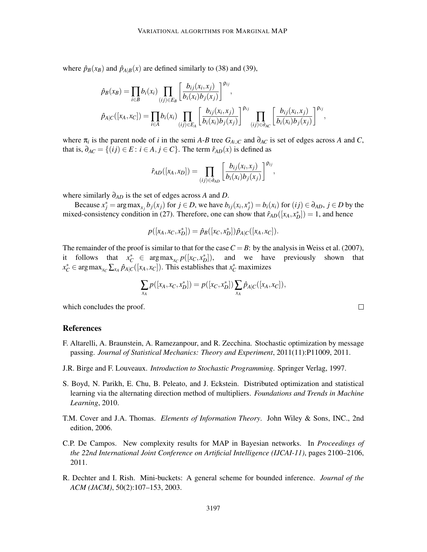where  $\hat{p}_B(x_B)$  and  $\hat{p}_{A|B}(x)$  are defined similarly to (38) and (39),

$$
\hat{p}_{B}(x_{B}) = \prod_{i \in B} b_{i}(x_{i}) \prod_{(ij) \in E_{B}} \left[ \frac{b_{ij}(x_{i}, x_{j})}{b_{i}(x_{i}) b_{j}(x_{j})} \right]^{\rho_{ij}},
$$
\n
$$
\hat{p}_{A|C}([x_{A}, x_{C}]) = \prod_{i \in A} b_{i}(x_{i}) \prod_{(ij) \in E_{A}} \left[ \frac{b_{ij}(x_{i}, x_{j})}{b_{i}(x_{i}) b_{j}(x_{j})} \right]^{\rho_{ij}} \prod_{(ij) \in \partial_{AC}} \left[ \frac{b_{ij}(x_{i}, x_{j})}{b_{i}(x_{i}) b_{j}(x_{j})} \right]^{\rho_{ij}},
$$

where  $\pi$ <sub>*i*</sub> is the parent node of *i* in the semi *A*-*B* tree  $G_{A\cup C}$  and  $\partial_{AC}$  is set of edges across *A* and *C*, that is,  $\partial_{AC} = \{(ij) \in E : i \in A, j \in C\}$ . The term  $\hat{r}_{AD}(x)$  is defined as

$$
\hat{r}_{AD}([x_A, x_D]) = \prod_{(ij)\in \partial_{AD}} \left[ \frac{b_{ij}(x_i, x_j)}{b_i(x_i)b_j(x_j)} \right]^{p_{ij}},
$$

where similarly ∂*AD* is the set of edges across *A* and *D*.

Because  $x_j^* = \arg \max_{x_j} b_j(x_j)$  for  $j \in D$ , we have  $b_{ij}(x_i, x_j^*) = b_i(x_i)$  for  $(ij) \in \partial_{AD}$ ,  $j \in D$  by the mixed-consistency condition in (27). Therefore, one can show that  $\hat{r}_{AD}([x_A, x_D^*]) = 1$ , and hence

$$
p([x_A, x_C, x_D^*]) = \hat{p}_B([x_C, x_D^*])\hat{p}_{A|C}([x_A, x_C]).
$$

The remainder of the proof is similar to that for the case  $C = B$ : by the analysis in Weiss et al. (2007), it follows that  $x_C^* \in \arg \max_{x_C} p([x_C, x_D^*])$ , and we have previously shown that  $x_C^* \in \arg \max_{x_C} \sum_{x_A} \hat{p}_{A|C}([x_A, x_C])$ . This establishes that  $x_C^*$  maximizes

$$
\sum_{x_A} p([x_A, x_C, x_D^*]) = p([x_C, x_D^*]) \sum_{x_A} \hat{p}_{A|C}([x_A, x_C]),
$$

 $\Box$ 

which concludes the proof.

#### References

- F. Altarelli, A. Braunstein, A. Ramezanpour, and R. Zecchina. Stochastic optimization by message passing. *Journal of Statistical Mechanics: Theory and Experiment*, 2011(11):P11009, 2011.
- J.R. Birge and F. Louveaux. *Introduction to Stochastic Programming*. Springer Verlag, 1997.
- S. Boyd, N. Parikh, E. Chu, B. Peleato, and J. Eckstein. Distributed optimization and statistical learning via the alternating direction method of multipliers. *Foundations and Trends in Machine Learning*, 2010.
- T.M. Cover and J.A. Thomas. *Elements of Information Theory*. John Wiley & Sons, INC., 2nd edition, 2006.
- C.P. De Campos. New complexity results for MAP in Bayesian networks. In *Proceedings of the 22nd International Joint Conference on Artificial Intelligence (IJCAI-11)*, pages 2100–2106, 2011.
- R. Dechter and I. Rish. Mini-buckets: A general scheme for bounded inference. *Journal of the ACM (JACM)*, 50(2):107–153, 2003.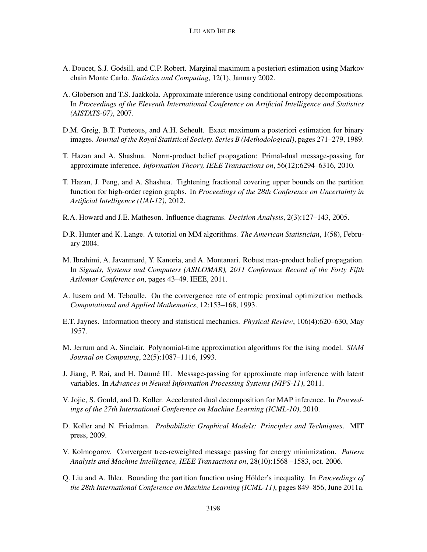- A. Doucet, S.J. Godsill, and C.P. Robert. Marginal maximum a posteriori estimation using Markov chain Monte Carlo. *Statistics and Computing*, 12(1), January 2002.
- A. Globerson and T.S. Jaakkola. Approximate inference using conditional entropy decompositions. In *Proceedings of the Eleventh International Conference on Artificial Intelligence and Statistics (AISTATS-07)*, 2007.
- D.M. Greig, B.T. Porteous, and A.H. Seheult. Exact maximum a posteriori estimation for binary images. *Journal of the Royal Statistical Society. Series B (Methodological)*, pages 271–279, 1989.
- T. Hazan and A. Shashua. Norm-product belief propagation: Primal-dual message-passing for approximate inference. *Information Theory, IEEE Transactions on*, 56(12):6294–6316, 2010.
- T. Hazan, J. Peng, and A. Shashua. Tightening fractional covering upper bounds on the partition function for high-order region graphs. In *Proceedings of the 28th Conference on Uncertainty in Artificial Intelligence (UAI-12)*, 2012.
- R.A. Howard and J.E. Matheson. Influence diagrams. *Decision Analysis*, 2(3):127–143, 2005.
- D.R. Hunter and K. Lange. A tutorial on MM algorithms. *The American Statistician*, 1(58), February 2004.
- M. Ibrahimi, A. Javanmard, Y. Kanoria, and A. Montanari. Robust max-product belief propagation. In *Signals, Systems and Computers (ASILOMAR), 2011 Conference Record of the Forty Fifth Asilomar Conference on*, pages 43–49. IEEE, 2011.
- A. Iusem and M. Teboulle. On the convergence rate of entropic proximal optimization methods. *Computational and Applied Mathematics*, 12:153–168, 1993.
- E.T. Jaynes. Information theory and statistical mechanics. *Physical Review*, 106(4):620–630, May 1957.
- M. Jerrum and A. Sinclair. Polynomial-time approximation algorithms for the ising model. *SIAM Journal on Computing*, 22(5):1087–1116, 1993.
- J. Jiang, P. Rai, and H. Daume III. Message-passing for approximate map inference with latent ´ variables. In *Advances in Neural Information Processing Systems (NIPS-11)*, 2011.
- V. Jojic, S. Gould, and D. Koller. Accelerated dual decomposition for MAP inference. In *Proceedings of the 27th International Conference on Machine Learning (ICML-10)*, 2010.
- D. Koller and N. Friedman. *Probabilistic Graphical Models: Principles and Techniques*. MIT press, 2009.
- V. Kolmogorov. Convergent tree-reweighted message passing for energy minimization. *Pattern Analysis and Machine Intelligence, IEEE Transactions on*, 28(10):1568 –1583, oct. 2006.
- Q. Liu and A. Ihler. Bounding the partition function using Hölder's inequality. In *Proceedings of the 28th International Conference on Machine Learning (ICML-11)*, pages 849–856, June 2011a.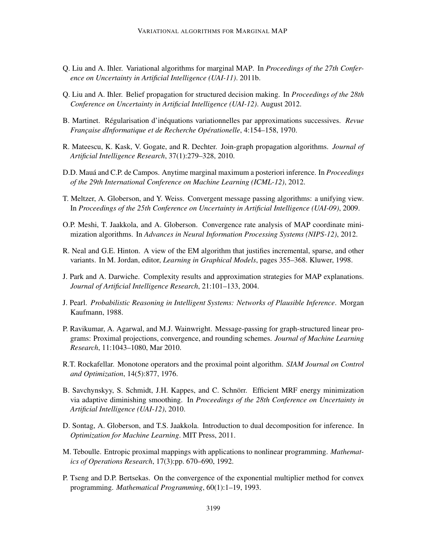- Q. Liu and A. Ihler. Variational algorithms for marginal MAP. In *Proceedings of the 27th Conference on Uncertainty in Artificial Intelligence (UAI-11)*. 2011b.
- Q. Liu and A. Ihler. Belief propagation for structured decision making. In *Proceedings of the 28th Conference on Uncertainty in Artificial Intelligence (UAI-12)*. August 2012.
- B. Martinet. Régularisation d'inéquations variationnelles par approximations successives. *Revue Française dInformatique et de Recherche Opérationelle*, 4:154–158, 1970.
- R. Mateescu, K. Kask, V. Gogate, and R. Dechter. Join-graph propagation algorithms. *Journal of Artificial Intelligence Research*, 37(1):279–328, 2010.
- D.D. Maua and C.P. de Campos. Anytime marginal maximum a posteriori inference. In ´ *Proceedings of the 29th International Conference on Machine Learning (ICML-12)*, 2012.
- T. Meltzer, A. Globerson, and Y. Weiss. Convergent message passing algorithms: a unifying view. In *Proceedings of the 25th Conference on Uncertainty in Artificial Intelligence (UAI-09)*, 2009.
- O.P. Meshi, T. Jaakkola, and A. Globerson. Convergence rate analysis of MAP coordinate minimization algorithms. In *Advances in Neural Information Processing Systems (NIPS-12)*, 2012.
- R. Neal and G.E. Hinton. A view of the EM algorithm that justifies incremental, sparse, and other variants. In M. Jordan, editor, *Learning in Graphical Models*, pages 355–368. Kluwer, 1998.
- J. Park and A. Darwiche. Complexity results and approximation strategies for MAP explanations. *Journal of Artificial Intelligence Research*, 21:101–133, 2004.
- J. Pearl. *Probabilistic Reasoning in Intelligent Systems: Networks of Plausible Inference*. Morgan Kaufmann, 1988.
- P. Ravikumar, A. Agarwal, and M.J. Wainwright. Message-passing for graph-structured linear programs: Proximal projections, convergence, and rounding schemes. *Journal of Machine Learning Research*, 11:1043–1080, Mar 2010.
- R.T. Rockafellar. Monotone operators and the proximal point algorithm. *SIAM Journal on Control and Optimization*, 14(5):877, 1976.
- B. Savchynskyy, S. Schmidt, J.H. Kappes, and C. Schnörr. Efficient MRF energy minimization via adaptive diminishing smoothing. In *Proceedings of the 28th Conference on Uncertainty in Artificial Intelligence (UAI-12)*, 2010.
- D. Sontag, A. Globerson, and T.S. Jaakkola. Introduction to dual decomposition for inference. In *Optimization for Machine Learning*. MIT Press, 2011.
- M. Teboulle. Entropic proximal mappings with applications to nonlinear programming. *Mathematics of Operations Research*, 17(3):pp. 670–690, 1992.
- P. Tseng and D.P. Bertsekas. On the convergence of the exponential multiplier method for convex programming. *Mathematical Programming*, 60(1):1–19, 1993.